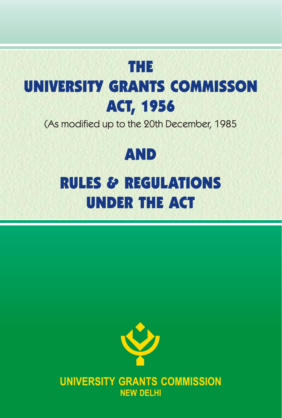### **THE**

# UNIVERSITY GRANTS COMMISSON **ACT, 1956**

(As modified up to the 20th December, 1985

## **AND**

# **RULES & REGULATIONS UNDER THE ACT**



UNIVERSITY GRANTS COMMISSION **NEW DELHI**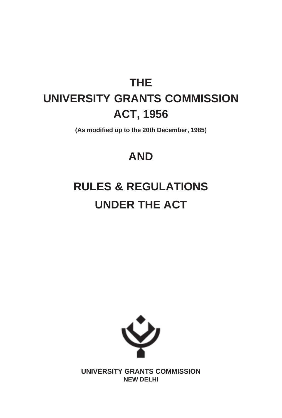### **THE UNIVERSITY GRANTS COMMISSION ACT, 1956**

**(As modified up to the 20th December, 1985)**

### **AND**

### **RULES & REGULATIONS UNDER THE ACT**



**UNIVERSITY GRANTS COMMISSION NEW DELHI**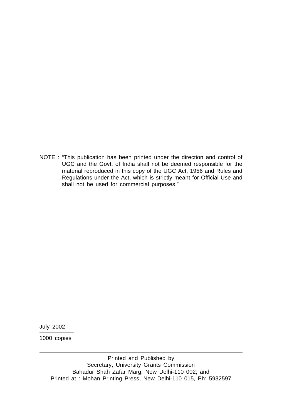NOTE : "This publication has been printed under the direction and control of UGC and the Govt. of India shall not be deemed responsible for the material reproduced in this copy of the UGC Act, 1956 and Rules and Regulations under the Act, which is strictly meant for Official Use and shall not be used for commercial purposes."

July 2002

1000 copies

Printed and Published by Secretary, University Grants Commission Bahadur Shah Zafar Marg, New Delhi-110 002; and Printed at : Mohan Printing Press, New Delhi-110 015, Ph: 5932597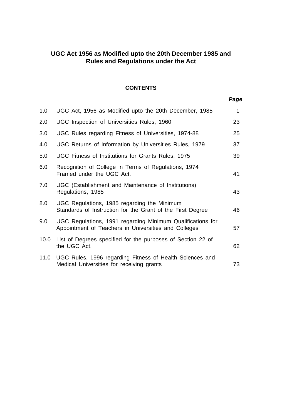#### **UGC Act 1956 as Modified upto the 20th December 1985 and Rules and Regulations under the Act**

#### **CONTENTS**

#### *Page*

| 1.0  | UGC Act, 1956 as Modified upto the 20th December, 1985                                                             | $\mathbf{1}$ |
|------|--------------------------------------------------------------------------------------------------------------------|--------------|
| 2.0  | UGC Inspection of Universities Rules, 1960                                                                         | 23           |
| 3.0  | UGC Rules regarding Fitness of Universities, 1974-88                                                               | 25           |
| 4.0  | UGC Returns of Information by Universities Rules, 1979                                                             | 37           |
| 5.0  | UGC Fitness of Institutions for Grants Rules, 1975                                                                 | 39           |
| 6.0  | Recognition of College in Terms of Regulations, 1974<br>Framed under the UGC Act.                                  | 41           |
| 7.0  | UGC (Establishment and Maintenance of Institutions)<br>Regulations, 1985                                           | 43           |
| 8.0  | UGC Regulations, 1985 regarding the Minimum<br>Standards of Instruction for the Grant of the First Degree          | 46           |
| 9.0  | UGC Regulations, 1991 regarding Minimum Qualifications for<br>Appointment of Teachers in Universities and Colleges | 57           |
| 10.0 | List of Degrees specified for the purposes of Section 22 of<br>the UGC Act.                                        | 62           |
| 11.0 | UGC Rules, 1996 regarding Fitness of Health Sciences and<br>Medical Universities for receiving grants              | 73           |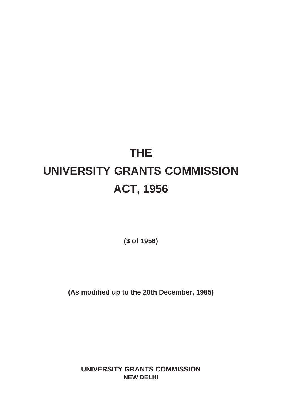### **THE UNIVERSITY GRANTS COMMISSION ACT, 1956**

**(3 of 1956)**

**(As modified up to the 20th December, 1985)**

**UNIVERSITY GRANTS COMMISSION NEW DELHI**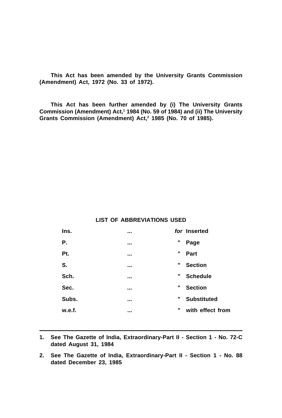**This Act has been amended by the University Grants Commission (Amendment) Act, 1972 (No. 33 of 1972).**

**This Act has been further amended by (i) The University Grants Commission (Amendment) Act,1 1984 (No. 59 of 1984) and (ii) The University** Grants Commission (Amendment) Act,<sup>2</sup> 1985 (No. 70 of 1985).

#### **LIST OF ABBREVIATIONS USED**

| Ins.   | <br>for Inserted             |
|--------|------------------------------|
| Р.     | <br>,,<br>Page               |
| Pt.    | <br>,,<br>Part               |
| S.     | <br>,,<br><b>Section</b>     |
| Sch.   | <br>,,<br><b>Schedule</b>    |
| Sec.   | <br>,,<br><b>Section</b>     |
| Subs.  | <br>,,<br><b>Substituted</b> |
| w.e.f. | <br>,,<br>with effect from   |
|        |                              |

- **1. See The Gazette of India, Extraordinary-Part II Section 1 No. 72-C dated August 31, 1984**
- **2. See The Gazette of India, Extraordinary-Part II Section 1 No. 88 dated December 23, 1985**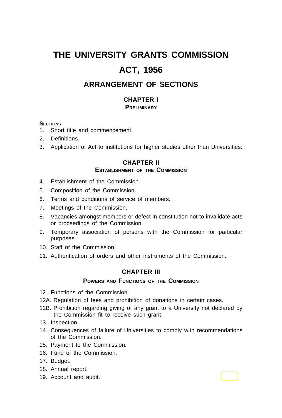### **THE UNIVERSITY GRANTS COMMISSION ACT, 1956**

### **ARRANGEMENT OF SECTIONS**

#### **CHAPTER I PRELIMINARY**

#### **SECTIONS**

- 1. Short title and commencement.
- 2. Definitions.
- 3. Application of Act to institutions for higher studies other than Universities.

#### **CHAPTER II**

#### **ESTABLISHMENT OF THE COMMISSION**

- 4. Establishment of the Commission.
- 5. Composition of the Commission.
- 6. Terms and conditions of service of members.
- 7. Meetings of the Commission.
- 8. Vacancies amongst members or defect in constitution not to invalidate acts or proceedings of the Commission.
- 9. Temporary association of persons with the Commission for particular purposes.
- 10. Staff of the Commission.
- 11. Authentication of orders and other instruments of the Commission.

#### **CHAPTER III**

#### **POWERS AND FUNCTIONS OF THE COMMISSION**

- 12. Functions of the Commission.
- 12A. Regulation of fees and prohibition of donations in certain cases.
- 12B. Prohibition regarding giving of any grant to a University not declared by the Commission fit to receive such grant.
- 13. Inspection.
- 14. Consequences of failure of Universities to comply with recommendations of the Commission.
- 15. Payment to the Commission.
- 16. Fund of the Commission.
- 17. Budget.
- 18. Annual report.
- 19. Account and audit.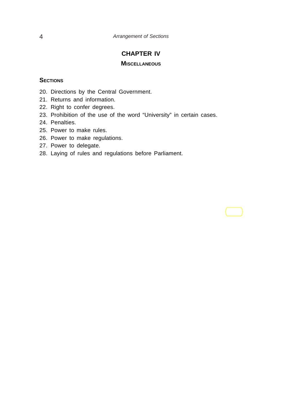4 *Arrangement of Sections*

#### **CHAPTER IV**

#### **MISCELLANEOUS**

#### **SECTIONS**

- 20. Directions by the Central Government.
- 21. Returns and information.
- 22. Right to confer degrees.
- 23. Prohibition of the use of the word "University" in certain cases.
- 24. Penalties.
- 25. Power to make rules.
- 26. Power to make regulations.
- 27. Power to delegate.
- 28. Laying of rules and regulations before Parliament.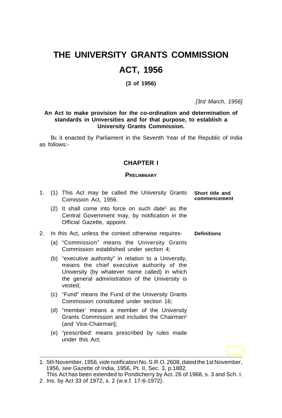### **THE UNIVERSITY GRANTS COMMISSION ACT, 1956**

#### **(3 of 1956)**

*[3rd March, 1956]*

#### **An Act to make provision for the co-ordination and determination of standards in Universities and for that purpose, to establish a University Grants Commission.**

BE it enacted by Parliament in the Seventh Year of the Republic of India as follows:-

#### **CHAPTER I**

#### **PRELIMINARY**

- 1. (1) This Act may be called the University Grants Comission Act, 1956.  $(2)$  It shall come into force on such date<sup>1</sup> as the Central Government may, by notification in the Official Gazette, appoint. 2. In this Act, unless the context otherwise requires- (a) "Commission" means the University Grants Commission established under section 4; (b) "executive authority" in relation to a University, means the chief executive authority of the University (by whatever name called) in which the general administration of the University is vested; (c) "Fund" means the Fund of the University Grants Commission constituted under section 16; (d) "member' means a member of the University Grants Commission and includes the Chairman2 (and Vice-Chairman]; **Short title and commencement Definitions**
	- (e) "prescribed' means prescribed by rules made under this Act;

<sup>1. 5</sup>th November, 1956, *vide* notification No. S.R.O. 2608, dated the 1st November, 1956, *see* Gazette of India, 1956, Pt. II, Sec. 3, p.1882.

This Act has been extended to Pondicherry by Act. 26 of 1968, s. 3 and Sch. I. 2. Ins. by Act 33 of 1972, s. 2 (w.e.f. 17-6-1972).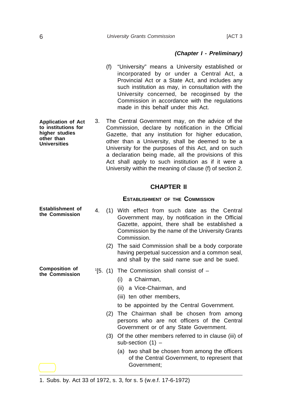#### *(Chapter I - Preliminary)*

- (f) "University" means a University established or incorporated by or under a Central Act, a Provincial Act or a State Act, and includes any such institution as may, in consultation with the University concerned, be recoginsed by the Commission in accordance with the regulations made in this behalf under this Act.
- 3. The Central Government may, on the advice of the Commission, declare by notification in the Official Gazette, that any institution for higher education, other than a University, shall be deemed to be a University for the purposes of this Act, and on such a declaration being made, all the provisions of this Act shall apply to such institution as if it were a University within the meaning of clause (f) of section 2.

#### **CHAPTER II**

#### **ESTABLISHMENT OF THE COMMISSION**

- 4. (1) With effect from such date as the Central Government may, by notification in the Official Gazette, appoint, there shall be established a Commission by the name of the University Grants Commission.
	- (2) The said Commission shall be a body corporate having perpetual succession and a common seal, and shall by the said name sue and be sued.
	- 1 [5. (1) The Commission shall consist of
		- (i) a Chairman,
		- (ii) a Vice-Chairman, and
		- (iii) ten other members,

to be appointed by the Central Government.

- (2) The Chairman shall be chosen from among persons who are not officers of the Central Government or of any State Government.
- (3) Of the other members referred to in clause (iii) of sub-section (1) –
	- (a) two shall be chosen from among the officers of the Central Government, to represent that Government;

**Application of Act to institutions for higher studies other than Universities**

**Establishment of the Commission**

**Composition of the Commission**

<sup>1.</sup> Subs. by. Act 33 of 1972, s. 3, for s. 5 (w.e.f. 17-6-1972)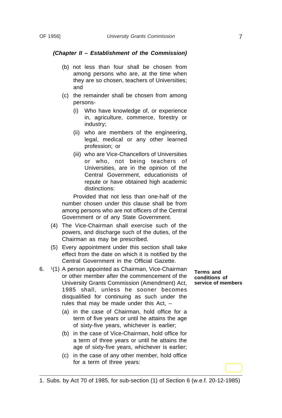#### *(Chapter II – Establishment of the Commission)*

- (b) not less than four shall be chosen from among persons who are, at the time when they are so chosen, teachers of Universities; and
- (c) the remainder shall be chosen from among persons-
	- (i) Who have knowledge of, or experience in, agriculture, commerce, forestry or industry;
	- (ii) who are members of the engineering, legal, medical or any other learned profession; or
	- (iii) who are Vice-Chancellors of Universities or who, not being teachers of Universities, are in the opinion of the Central Government, educationists of repute or have obtained high academic distinctions:

Provided that not less than one-half of the number chosen under this clause shall be from among persons who are not officers of the Central Government or of any State Government.

- (4) The Vice-Chairman shall exercise such of the powers, and discharge such of the duties, of the Chairman as may be prescribed.
- (5) Every appointment under this section shall take effect from the date on which it is notified by the Central Government in the Official Gazette.
- $6.$   $(1)$  A person appointed as Chairman, Vice-Chairman or other member after the commencement of the University Grants Commission (Amendment) Act, 1985 shall, unless he sooner becomes disqualified for continuing as such under the rules that may be made under this Act, –
	- (a) in the case of Chairman, hold office for a term of five years or until he attains the age of sixty-five years, whichever is earlier;
	- (b) in the case of Vice-Chairman, hold office for a term of three years or until he attains the age of sixty-five years, whichever is earlier;
	- (c) in the case of any other member, hold office for a term of three years:

**Terms and conditions of service of members**

<sup>1.</sup> Subs. by Act 70 of 1985, for sub-section (1) of Section 6 (w.e.f. 20-12-1985)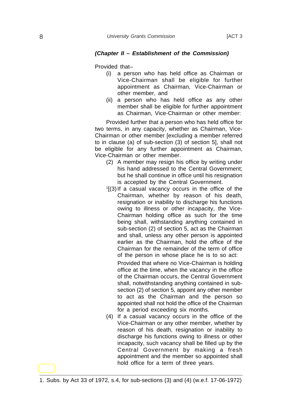#### *(Chapter II – Establishment of the Commission)*

Provided that–

- (i) a person who has held office as Chairman or Vice-Chairman shall be eligible for further appointment as Chairman, Vice-Chairman or other member, and
- (ii) a person who has held office as any other member shall be eligible for further appointment as Chairman, Vice-Chairman or other member:

Provided further that a person who has held office for two terms, in any capacity, whether as Chairman, Vice-Chairman or other member [excluding a member referred to in clause (a) of sub-section (3) of section 5], shall not be eligible for any further appointment as Chairman, Vice-Chairman or other member.

- (2) A member may resign his office by writing under his hand addressed to the Central Government; but he shall continue in office until his resignation is accepted by the Central Government.
- 1 [(3)If a casual vacancy occurs in the office of the Chairman, whether by reason of his death, resignation or inability to discharge his functions owing to illness or other incapacity, the Vice-Chairman holding office as such for the time being shall, withstanding anything contained in sub-section (2) of section 5, act as the Chairman and shall, unless any other person is appointed earlier as the Chairman, hold the office of the Chairman for the remainder of the term of office of the person in whose place he is to so act:

Provided that where no Vice-Chairman is holding office at the time, when the vacancy in the office of the Chairman occurs, the Central Government shall, notwithstanding anything contained in subsection (2) of section 5, appoint any other member to act as the Chairman and the person so appointed shall not hold the office of the Chairman for a period exceeding six months.

(4) If a casual vacancy occurs in the office of the Vice-Chairman or any other member, whether by reason of his death, resignation or inability to discharge his functions owing to illness or other incapacity, such vacancy shall be filled up by the Central Government by making a fresh appointment and the member so appointed shall hold office for a term of three years.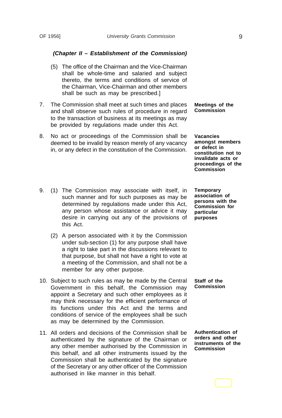#### *(Chapter II – Establishment of the Commission)*

- (5) The office of the Chairman and the Vice-Chairman shall be whole-time and salaried and subject thereto, the terms and conditions of service of the Chairman, Vice-Chairman and other members shall be such as may be prescribed.]
- 7. The Commission shall meet at such times and places and shall observe such rules of procedure in regard to the transaction of business at its meetings as may be provided by regulations made under this Act.
- 8. No act or proceedings of the Commission shall be deemed to be invalid by reason merely of any vacancy in, or any defect in the constitution of the Commission.
- 9. (1) The Commission may associate with itself, in such manner and for such purposes as may be determined by regulations made under this Act, any person whose assistance or advice it may desire in carrying out any of the provisions of this Act.
	- (2) A person associated with it by the Commission under sub-section (1) for any purpose shall have a right to take part in the discussions relevant to that purpose, but shall not have a right to vote at a meeting of the Commission, and shall not be a member for any other purpose.
- 10. Subject to such rules as may be made by the Central Government in this behalf, the Commission may appoint a Secretary and such other employees as it may think necessary for the efficient performance of its functions under this Act and the terms and conditions of service of the employees shall be such as may be determined by the Commission.
- 11. All orders and decisions of the Commission shall be authenticated by the signature of the Chairman or any other member authorised by the Commission in this behalf, and all other instruments issued by the Commission shall be authenticated by the signature of the Secretary or any other officer of the Commission authorised in like manner in this behalf.

**Meetings of the Commission**

**Vacancies amongst members or defect in constitution not to invalidate acts or proceedings of the Commission**

**Temporary association of persons with the Commission for particular purposes**

**Staff of the Commission**

**Authentication of orders and other instruments of the Commission**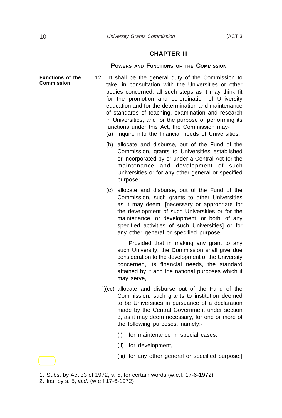#### **CHAPTER III**

#### **POWERS AND FUNCTIONS OF THE COMMISSION**

12. It shall be the general duty of the Commission to take, in consultation with the Universities or other bodies concerned, all such steps as it may think fit for the promotion and co-ordination of University education and for the determination and maintenance of standards of teaching, examination and research in Universities, and for the purpose of performing its functions under this Act, the Commission may- **Commission**

- (a) inquire into the financial needs of Universities;
- (b) allocate and disburse, out of the Fund of the Commission, grants to Universities established or incorporated by or under a Central Act for the maintenance and development of such Universities or for any other general or specified purpose;
- (c) allocate and disburse, out of the Fund of the Commission, such grants to other Universities as it may deem 1 [necessary or appropriate for the development of such Universities or for the maintenance, or development, or both, of any specified activities of such Universities] or for any other general or specified purpose:

Provided that in making any grant to any such University, the Commission shall give due consideration to the development of the University concerned, its financial needs, the standard attained by it and the national purposes which it may serve,

- $2[(cc)$  allocate and disburse out of the Fund of the Commission, such grants to institution deemed to be Universities in pursuance of a declaration made by the Central Government under section 3, as it may deem necessary, for one or more of the following purposes, namely:-
	- (i) for maintenance in special cases,
	- (ii) for development,
	- (iii) for any other general or specified purpose;]

**Functions of the**

<sup>1.</sup> Subs. by Act 33 of 1972, s. 5, for certain words (w.e.f. 17-6-1972)

<sup>2.</sup> Ins. by s. 5, *ibid.* (w.e.f 17-6-1972)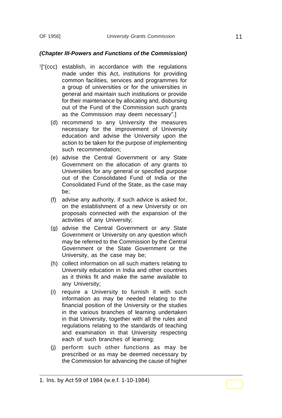- 1["(ccc) establish, in accordance with the regulations made under this Act, institutions for providing common facilities, services and programmes for a group of universities or for the universities in general and maintain such institutions or provide for their maintenance by allocating and, disbursing out of the Fund of the Commission such grants as the Commission may deem necessary".]
	- (d) recommend to any University the measures necessary for the improvement of University education and advise the University upon the action to be taken for the purpose of implementing such recommendation;
	- (e) advise the Central Government or any State Government on the allocation of any grants to Universities for any general or specified purpose out of the Consolidated Fund of India or the Consolidated Fund of the State, as the case may be;
	- (f) advise any authority, if such advice is asked for, on the establishment of a new University or on proposals connected with the expansion of the activities of any University;
	- (g) advise the Central Government or any State Government or University on any question which may be referred to the Commission by the Central Government or the State Government or the University, as the case may be;
	- (h) collect information on all such matters relating to University education in India and other countries as it thinks fit and make the same available to any University;
	- (i) require a University to furnish it with such information as may be needed relating to the financial position of the University or the studies in the various branches of learning undertaken in that University, together with all the rules and regulations relating to the standards of teaching and examination in that University respecting each of such branches of learning;
	- (j) perform such other functions as may be prescribed or as may be deemed necessary by the Commission for advancing the cause of higher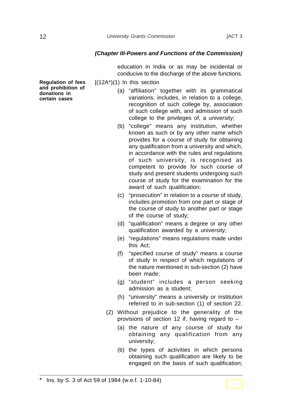education in India or as may be incidental or conducive to the discharge of the above functions.

- $[(12A<sup>*</sup>)(1)$  In this section
	- (a) "affiliation" together with its grammatical variations, includes, in relation to a college, recognition of such college by, association of such college with, and admission of such college to the privileges of, a university;
	- (b) "college" means any institution, whether known as such or by any other name which provides for a course of study for obtaining any qualification from a university and which, in accordance with the rules and regulations of such university, is recognised as competent to provide for such course of study and present students undergoing such course of study for the examination for the award of such qualification;
	- (c) "prosecution" in relation to a course of study, includes promotion from one part or stage of the course of study to another part or stage of the course of study;
	- (d) "qualification" means a degree or any other qualification awarded by a university;
	- (e) "regulations" means regulations made under this Act;
	- (f) "specified course of study" means a course of study in respect of which regulations of the nature mentioned in sub-section (2) have been made;
	- (g) "student" includes a person seeking admission as a student;
	- (h) "university" means a university or institution referred to in sub-section (1) of section 22.
	- (2) Without prejudice to the generality of the provisions of section 12 if, having regard to –
		- (a) the nature of any course of study for obtaining any qualification from any university;
		- (b) the types of activities in which persons obtaining such qualification are likely to be engaged on the basis of such qualification;

**Regulation of fees and prohibition of donations in certain cases**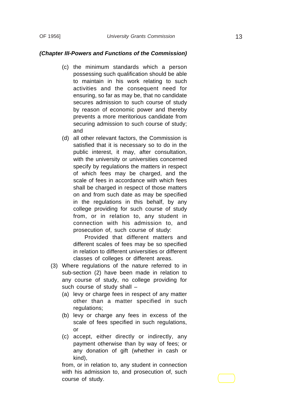- (c) the minimum standards which a person possessing such qualification should be able to maintain in his work relating to such activities and the consequent need for ensuring, so far as may be, that no candidate secures admission to such course of study by reason of economic power and thereby prevents a more meritorious candidate from securing admission to such course of study; and
- (d) all other relevant factors, the Commission is satisfied that it is necessary so to do in the public interest, it may, after consultation, with the university or universities concerned specify by regulations the matters in respect of which fees may be charged, and the scale of fees in accordance with which fees shall be charged in respect of those matters on and from such date as may be specified in the regulations in this behalf, by any college providing for such course of study from, or in relation to, any student in connection with his admission to, and prosecution of, such course of study:

Provided that different matters and different scales of fees may be so specified in relation to different universities or different classes of colleges or different areas.

- (3) Where regulations of the nature referred to in sub-section (2) have been made in relation to any course of study, no college providing for such course of study shall –
	- (a) levy or charge fees in respect of any matter other than a matter specified in such regulations;
	- (b) levy or charge any fees in excess of the scale of fees specified in such regulations, or
	- (c) accept, either directly or indirectly, any payment otherwise than by way of fees; or any donation of gift (whether in cash or kind),

from, or in relation to, any student in connection with his admission to, and prosecution of, such course of study.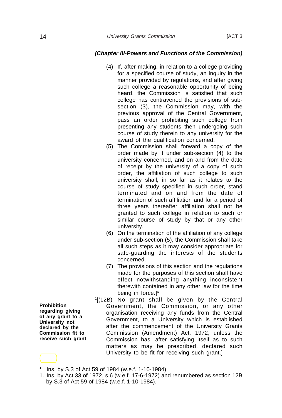- (4) If, after making, in relation to a college providing for a specified course of study, an inquiry in the manner provided by regulations, and after giving such college a reasonable opportunity of being heard, the Commission is satisfied that such college has contravened the provisions of subsection (3), the Commission may, with the previous approval of the Central Government, pass an order prohibiting such college from presenting any students then undergoing such course of study therein to any university for the award of the qualification concerned.
- (5) The Commission shall forward a copy of the order made by it under sub-section (4) to the university concerned, and on and from the date of receipt by the university of a copy of such order, the affiliation of such college to such university shall, in so far as it relates to the course of study specified in such order, stand terminated and on and from the date of termination of such affiliation and for a period of three years thereafter affiliation shall not be granted to such college in relation to such or similar course of study by that or any other university.
- (6) On the termination of the affiliation of any college under sub-section (5), the Commission shall take all such steps as it may consider appropriate for safe-guarding the interests of the students concerned.
- (7) The provisions of this section and the regulations made for the purposes of this section shall have effect notwithstanding anything inconsistent therewith contained in any other law for the time being in force.]\*
- 1 [(12B) No grant shall be given by the Central Government, the Commission, or any other organisation receiving any funds from the Central Government, to a University which is established after the commencement of the University Grants Commission (Amendment) Act, 1972, unless the Commission has, after satisfying itself as to such matters as may be prescribed, declared such University to be fit for receiving such grant.]

**Prohibition regarding giving of any grant to a University not declared by the Commission fit to receive such grant**

Ins. by S.3 of Act 59 of 1984 (w.e.f. 1-10-1984)

<sup>1.</sup> Ins. by Act 33 of 1972, s.6 (w.e.f. 17-6-1972) and renumbered as section 12B by S.3 of Act 59 of 1984 (w.e.f. 1-10-1984).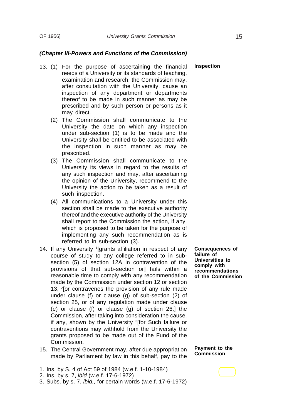**Inspection**

- 13. (1) For the purpose of ascertaining the financial needs of a University or its standards of teaching, examination and research, the Commission may, after consultation with the University, cause an inspection of any department or departments thereof to be made in such manner as may be prescribed and by such person or persons as it may direct.
	- (2) The Commission shall communicate to the University the date on which any inspection under sub-section (1) is to be made and the University shall be entitled to be associated with the inspection in such manner as may be prescribed.
	- (3) The Commission shall communicate to the University its views in regard to the results of any such inspection and may, after ascertaining the opinion of the University, recommend to the University the action to be taken as a result of such inspection.
	- (4) All communications to a University under this section shall be made to the executive authority thereof and the executive authority of the University shall report to the Commission the action, if any, which is proposed to be taken for the purpose of implementing any such recommendation as is referred to in sub-section (3).
- 14. If any University 1 [grants affiliation in respect of any course of study to any college referred to in subsection (5) of section 12A in contravention of the provisions of that sub-section or] fails within a reasonable time to comply with any recommendation made by the Commission under section 12 or section 13, <sup>2</sup> [or contravenes the provision of any rule made under clause (f) or clause (g) of sub-section (2) of section 25, or of any regulation made under clause (e) or clause (f) or clause (g) of section 26,] the Commission, after taking into consideration the cause, if any, shown by the University <sup>3</sup>[for Such failure or contraventions may withhold from the University the grants proposed to be made out of the Fund of the Commission.
- 15. The Central Government may, after due appropriation made by Parliament by law in this behalf, pay to the

**Consequences of failure of Universities to comply with recommendations of the Commission**

**Payment to the Commission**

<sup>1.</sup> Ins. by S. 4 of Act 59 of 1984 (w.e.f. 1-10-1984)

<sup>2.</sup> Ins. by s. 7, *ibid* (w.e.f. 17-6-1972)

<sup>3.</sup> Subs. by s. 7, *ibid.,* for certain words (w.e.f. 17-6-1972)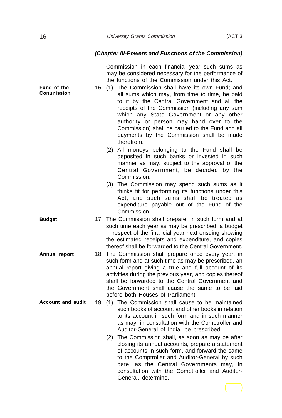Commission in each financial year such sums as may be considered necessary for the performance of the functions of the Commission under this Act.

16. (1) The Commission shall have its own Fund; and all sums which may, from time to time, be paid to it by the Central Government and all the receipts of the Commission (including any sum which any State Government or any other authority or person may hand over to the Commission) shall be carried to the Fund and all payments by the Commission shall be made therefrom. **Fund of the Conunission**

- (2) All moneys belonging to the Fund shall be deposited in such banks or invested in such manner as may, subject to the approval of the Central Government, be decided by the Commission.
- (3) The Commission may spend such sums as it thinks fit for performing its functions under this Act, and such sums shall be treated as expenditure payable out of the Fund of the Commission.
- 17. The Commission shall prepare, in such form and at such time each year as may be prescribed, a budget in respect of the financial year next ensuing showing the estimated receipts and expenditure, and copies thereof shall be forwarded to the Central Government.
	- 18. The Commission shall prepare once every year, in such form and at such time as may be prescribed, an annual report giving a true and full account of its activities during the previous year, and copies thereof shall be forwarded to the Central Government and the Government shall cause the same to be laid before both Houses of Parliament.
- 19. (1) The Commission shall cause to be maintained such books of account and other books in relation to its account in such form and in such manner as may, in consultation with the Comptroller and Auditor-General of India, be prescribed. **Account and audit**
	- (2) The Commission shall, as soon as may be after closing its annual accounts, prepare a statement of accounts in such form, and forward the same to the Comptroller and Auditor-General by such date, as the Central Governments may, in consultation with the Comptroller and Auditor-General, determine.

**Budget**

**Annual report**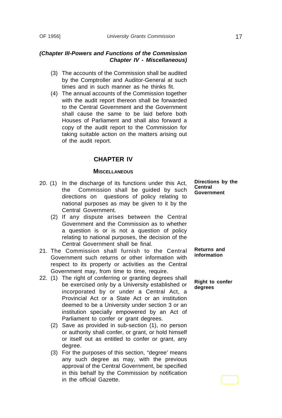#### *(Chapter III-Powers and Functions of the Commission Chapter IV - Miscellaneous)*

- (3) The accounts of the Commission shall be audited by the Comptroller and Auditor-General at such times and in such manner as he thinks fit.
- (4) The annual accounts of the Commission together with the audit report thereon shall be forwarded to the Central Government and the Government shall cause the same to be laid before both Houses of Parliament and shall also forward a copy of the audit report to the Commission for taking suitable action on the matters arising out of the audit report.

#### **CHAPTER IV**

#### **MISCELLANEOUS**

- 20. (1) In the discharge of its functions under this Act, the Commission shall be guided by such directions on questions of policy relating to national purposes as may be given to it by the Central Government.
	- (2) If any dispute arises between the Central Government and the Commission as to whether a question is or is not a question of policy relating to national purposes, the decision of the Central Government shall be final.
- 21. The Commission shall furnish to the Central Government such returns or other information with respect to its property or activities as the Central Government may, from time to time, require.
- 22. (1) The right of conferring or granting degrees shall be exercised only by a University established or incorporated by or under a Central Act, a Provincial Act or a State Act or an institution deemed to be a University under section 3 or an institution specially empowered by an Act of Parliament to confer or grant degrees.
	- (2) Save as provided in sub-section (1), no person or authority shall confer, or grant, or hold himself or itself out as entitled to confer or grant, any degree.
	- (3) For the purposes of this section, "degree' means any such degree as may, with the previous approval of the Central Government, be specified in this behalf by the Commission by notification in the official Gazette.

**Directions by the Central Government**

**Returns and information**

**Right to confer degrees**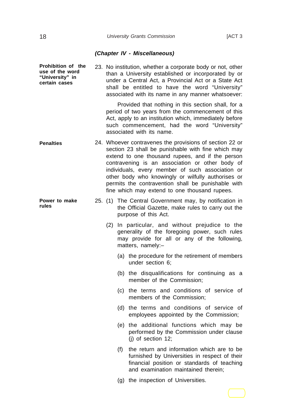23. No institution, whether a corporate body or not, other than a University established or incorporated by or under a Central Act, a Provincial Act or a State Act shall be entitled to have the word "University" associated with its name in any manner whatsoever: **Prohibition of the use of the word "University" in certain cases**

> Provided that nothing in this section shall, for a period of two years from the commencement of this Act, apply to an institution which, immediately before such commencement, had the word "University" associated with its name.

- 24. Whoever contravenes the provisions of section 22 or section 23 shall be punishable with fine which may extend to one thousand rupees, and if the person contravening is an association or other body of individuals, every member of such association or other body who knowingly or wilfully authorises or permits the contravention shall be punishable with fine which may extend to one thousand rupees. **Penalties**
- 25. (1) The Central Government may, by notification in the Official Gazette, make rules to carry out the purpose of this Act. **Power to make**
	- (2) In particular, and without prejudice to the generality of the foregoing power, such rules may provide for all or any of the following, matters, namely:–
		- (a) the procedure for the retirement of members under section 6;
		- (b) the disqualifications for continuing as a member of the Commission;
		- (c) the terms and conditions of service of members of the Commission;
		- (d) the terms and conditions of service of employees appointed by the Commission;
		- (e) the additional functions which may be performed by the Commission under clause (j) of section 12;
		- (f) the return and information which are to be furnished by Universities in respect of their financial position or standards of teaching and examination maintained therein;
		- (g) the inspection of Universities.

**rules**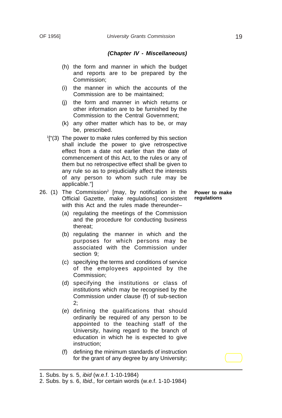- (h) the form and manner in which the budget and reports are to be prepared by the Commission;
- (i) the manner in which the accounts of the Commission are to be maintained;
- (j) the form and manner in which returns or other information are to be furnished by the Commission to the Central Government;
- (k) any other matter which has to be, or may be, prescribed.
- 1 ["(3) The power to make rules conferred by this section shall include the power to give retrospective effect from a date not earlier than the date of commencement of this Act, to the rules or any of them but no retrospective effect shall be given to any rule so as to prejudicially affect the interests of any person to whom such rule may be applicable."]
- 26. (1) The Commission<sup>2</sup> [may, by notification in the Official Gazette, make regulations] consistent with this Act and the rules made thereunder–

**Power to make regulations**

- (a) regulating the meetings of the Commission and the procedure for conducting business thereat;
- (b) regulating the manner in which and the purposes for which persons may be associated with the Commission under section 9;
- (c) specifying the terms and conditions of service of the employees appointed by the Commission;
- (d) specifying the institutions or class of institutions which may be recognised by the Commission under clause (f) of sub-section 2;
- (e) defining the qualifications that should ordinarily be required of any person to be appointed to the teaching staff of the University, having regard to the branch of education in which he is expected to give instruction;
- (f) defining the minimum standards of instruction for the grant of any degree by any University;

<sup>1.</sup> Subs. by s. 5, *ibid* (w.e.f. 1-10-1984)

<sup>2.</sup> Subs. by s. 6, *Ibid.,* for certain words (w.e.f. 1-10-1984)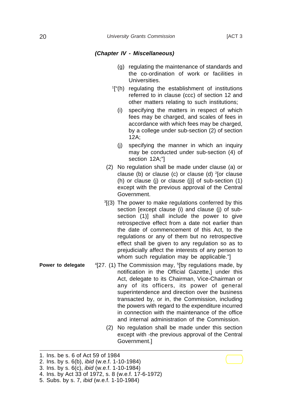- (g) regulating the maintenance of standards and the co-ordination of work or facilities in Universities.
- 1["(h) regulating the establishment of institutions referred to in clause (ccc) of section 12 and other matters relating to such institutions;
	- (i) specifying the matters in respect of which fees may be charged, and scales of fees in accordance with which fees may be charged, by a college under sub-section (2) of section 12A;
	- (j) specifying the manner in which an inquiry may be conducted under sub-section (4) of section 12A;"]
- (2) No regulation shall be made under clause (a) or clause (b) or clause (c) or clause (d) <sup>2</sup>[or clause (h) or clause (j) or clause (j)] of sub-section (1) except with the previous approval of the Central Government.
- 3 [(3) The power to make regulations conferred by this section [except clause (i) and clause (j) of subsection (1)] shall include the power to give retrospective effect from a date not earlier than the date of commencement of this Act, to the regulations or any of them but no retrospective effect shall be given to any regulation so as to prejudicially affect the interests of any person to whom such regulation may be applicable."]
- 4 [27. (1) The Commission may, 5[by regulations made, by notification in the Official Gazette,] under this Act, delegate to its Chairman, Vice-Chairman or any of its officers, its power of general superintendence and direction over the business transacted by, or in, the Commission, including the powers with regard to the expenditure incurred in connection with the maintenance of the office and internal administration of the Commission.
	- (2) No regulation shall be made under this section except with -the previous approval of the Central Government.]

- 4. Ins. by Act 33 of 1972, s. 8 (w.e.f. 17-6-1972)
- 5. Subs. by s. 7, *ibid* (w.e.f. 1-10-1984)

**Power to delegate**

<sup>1.</sup> Ins. be s. 6 of Act 59 of 1984

<sup>2.</sup> Ins. by s. 6(b), *ibid* (w.e.f. 1-10-1984)

<sup>3.</sup> Ins. by s. 6(c), *ibid* (w.e.f. 1-10-1984)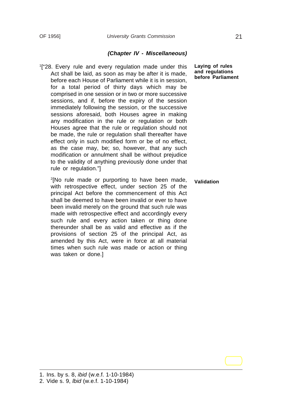<sup>1</sup>["28. Every rule and every regulation made under this Act shall be laid, as soon as may be after it is made, before each House of Parliament while it is in session, for a total period of thirty days which may be comprised in one session or in two or more successive sessions, and if, before the expiry of the session immediately following the session, or the successive sessions aforesaid, both Houses agree in making any modification in the rule or regulation or both Houses agree that the rule or regulation should not be made, the rule or regulation shall thereafter have effect only in such modified form or be of no effect, as the case may, be; so, however, that any such modification or annulment shall be without prejudice to the validity of anything previously done under that rule or regulation."]

2[No rule made or purporting to have been made, with retrospective effect, under section 25 of the principal Act before the commencement of this Act shall be deemed to have been invalid or ever to have been invalid merely on the ground that such rule was made with retrospective effect and accordingly every such rule and every action taken or thing done thereunder shall be as valid and effective as if the provisions of section 25 of the principal Act, as amended by this Act, were in force at all material times when such rule was made or action or thing was taken or done.]

**Laying of rules and regulations before Parliament**

**Validation**

<sup>1.</sup> Ins. by s. 8, *ibid* (w.e.f. 1-10-1984)

<sup>2.</sup> Vide s. 9, *lbid* (w.e.f. 1-10-1984)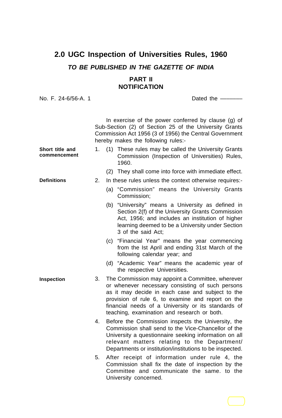### **2.0 UGC Inspection of Universities Rules, 1960**

#### *TO BE PUBLISHED IN THE GAZETTE OF INDIA*

#### **PART II NOTIFICATION**

No. F. 24-6/56-A. 1 Dated the –––––––

|                                 |    | In exercise of the power conferred by clause (g) of<br>Sub-Section (2) of Section 25 of the University Grants<br>Commission Act 1956 (3 of 1956) the Central Government<br>hereby makes the following rules:- |                                                                                                                                                                                                                                                                                                                     |  |
|---------------------------------|----|---------------------------------------------------------------------------------------------------------------------------------------------------------------------------------------------------------------|---------------------------------------------------------------------------------------------------------------------------------------------------------------------------------------------------------------------------------------------------------------------------------------------------------------------|--|
| Short title and<br>commencement | 1. |                                                                                                                                                                                                               | (1) These rules may be called the University Grants<br>Commission (Inspection of Universities) Rules,<br>1960.                                                                                                                                                                                                      |  |
|                                 |    | (2)                                                                                                                                                                                                           | They shall come into force with immediate effect.                                                                                                                                                                                                                                                                   |  |
| <b>Definitions</b>              | 2. |                                                                                                                                                                                                               | In these rules unless the context otherwise requires:-                                                                                                                                                                                                                                                              |  |
|                                 |    |                                                                                                                                                                                                               | (a) "Commission" means the University Grants<br>Commission:                                                                                                                                                                                                                                                         |  |
|                                 |    |                                                                                                                                                                                                               | (b) "University" means a University as defined in<br>Section 2(f) of the University Grants Commission<br>Act, 1956; and includes an institution of higher<br>learning deemed to be a University under Section<br>3 of the said Act;                                                                                 |  |
|                                 |    | (c)                                                                                                                                                                                                           | "Financial Year" means the year commencing<br>from the Ist April and ending 31st March of the<br>following calendar year; and                                                                                                                                                                                       |  |
|                                 |    | (d)                                                                                                                                                                                                           | "Academic Year" means the academic year of<br>the respective Universities.                                                                                                                                                                                                                                          |  |
| Inspection                      | 3. |                                                                                                                                                                                                               | The Commission may appoint a Committee, wherever<br>or whenever necessary consisting of such persons<br>as it may decide in each case and subject to the<br>provision of rule 6, to examine and report on the<br>financial needs of a University or its standards of<br>teaching, examination and research or both. |  |
|                                 | 4. |                                                                                                                                                                                                               | Before the Commission inspects the University, the<br>Commission shall send to the Vice-Chancellor of the<br>University a questionnaire seeking information on all<br>relevant matters relating to the Department/<br>Departments or institution/institutions to be inspected.                                      |  |
|                                 | 5. |                                                                                                                                                                                                               | After receipt of information under rule 4, the<br>Commission shall fix the date of inspection by the<br>Committee and communicate the same. to the<br>University concerned.                                                                                                                                         |  |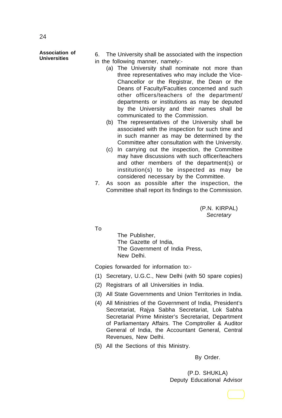#### **Association of Universities**

6. The University shall be associated with the inspection in the following manner, namely:-

- (a) The University shall nominate not more than three representatives who may include the Vice-Chancellor or the Registrar, the Dean or the Deans of Faculty/Faculties concerned and such other officers/teachers of the department/ departments or institutions as may be deputed by the University and their names shall be communicated to the Commission.
- (b) The representatives of the University shall be associated with the inspection for such time and in such manner as may be determined by the Committee after consultation with the University.
- (c) In carrying out the inspection, the Committee may have discussions with such officer/teachers and other members of the department(s) or institution(s) to be inspected as may be considered necessary by the Committee.
- 7. As soon as possible after the inspection, the Committee shall report its findings to the Commission.

(P.N. KIRPAL) *Secretary*

To

The Publisher, The Gazette of India, The Government of India Press, New Delhi.

Copies forwarded for information to:-

- (1) Secretary, U.G.C., New Delhi (with 50 spare copies)
- (2) Registrars of all Universities in India.
- (3) All State Governments and Union Territories in India.
- (4) All Ministries of the Government of India, President's Secretariat, Rajya Sabha Secretariat, Lok Sabha Secretarial Prime Minister's Secretariat, Department of Parliamentary Affairs. The Comptroller & Auditor General of India, the Accountant General, Central Revenues, New Delhi.
- (5) All the Sections of this Ministry.

By Order.

(P.D. SHUKLA) Deputy Educational Advisor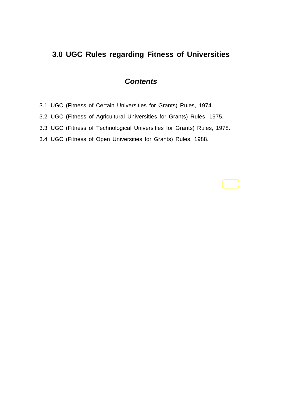#### **3.0 UGC Rules regarding Fitness of Universities**

#### *Contents*

- 3.1 UGC (Fitness of Certain Universities for Grants) Rules, 1974.
- 3.2 UGC (Fitness of Agricultural Universities for Grants) Rules, 1975.
- 3.3 UGC (Fitness of Technological Universities for Grants) Rules, 1978.
- 3.4 UGC (Fitness of Open Universities for Grants) Rules, 1988.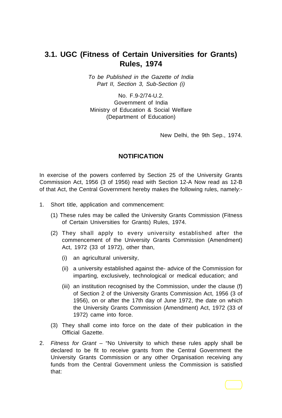#### **3.1. UGC (Fitness of Certain Universities for Grants) Rules, 1974**

*To be Published in the Gazette of India Part II, Section 3, Sub-Section (i)*

No. F.9-2/74-U.2. Government of India Ministry of Education & Social Welfare (Department of Education)

New Delhi, the 9th Sep., 1974.

#### **NOTIFICATION**

In exercise of the powers conferred by Section 25 of the University Grants Commission Act, 1956 (3 of 1956) read with Section 12-A Now read as 12-B of that Act, the Central Government hereby makes the following rules, namely:-

- 1. Short title, application and commencement:
	- (1) These rules may be called the University Grants Commission (Fitness of Certain Universities for Grants) Rules, 1974.
	- (2) They shall apply to every university established after the commencement of the University Grants Commission (Amendment) Act, 1972 (33 of 1972), other than,
		- (i) an agricultural university,
		- (ii) a university established against the- advice of the Commission for imparting, exclusively, technological or medical education; and
		- (iii) an institution recognised by the Commission, under the clause (f) of Section 2 of the University Grants Commission Act, 1956 (3 of 1956), on or after the 17th day of June 1972, the date on which the University Grants Commission (Amendment) Act, 1972 (33 of 1972) came into force.
	- (3) They shall come into force on the date of their publication in the Official Gazette.
- 2. *Fitness for Grant* "No University to which these rules apply shall be declared to be fit to receive grants from the Central Government the University Grants Commission or any other Organisation receiving any funds from the Central Government unless the Commission is satisfied that: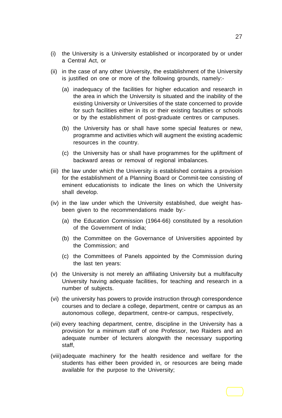- (i) the University is a University established or incorporated by or under a Central Act, or
- (ii) in the case of any other University, the establishment of the University is justified on one or more of the following grounds, namely:-
	- (a) inadequacy of the facilities for higher education and research in the area in which the University is situated and the inability of the existing University or Universities of the state concerned to provide for such facilities either in its or their existing faculties or schools or by the establishment of post-graduate centres or campuses.
	- (b) the University has or shall have some special features or new, programme and activities which will augment the existing academic resources in the country.
	- (c) the University has or shall have programmes for the upliftment of backward areas or removal of regional imbalances.
- (iii) the law under which the University is established contains a provision for the establishment of a Planning Board or Commit-tee consisting of eminent educationists to indicate the lines on which the University shall develop.
- (iv) in the law under which the University established, due weight hasbeen given to the recommendations made by:-
	- (a) the Education Commission (1964-66) constituted by a resolution of the Government of India;
	- (b) the Committee on the Governance of Universities appointed by the Commission; and
	- (c) the Committees of Panels appointed by the Commission during the last ten years:
- (v) the University is not merely an affiliating University but a multifaculty University having adequate facilities, for teaching and research in a number of subjects.
- (vi) the university has powers to provide instruction through correspondence courses and to declare a college, department, centre or campus as an autonomous college, department, centre-or campus, respectively,
- (vii) every teaching department, centre, discipline in the University has a provision for a minimum staff of one Professor, two Raiders and an adequate number of lecturers alongwith the necessary supporting staff,
- (viii)adequate machinery for the health residence and welfare for the students has either been provided in, or resources are being made available for the purpose to the University;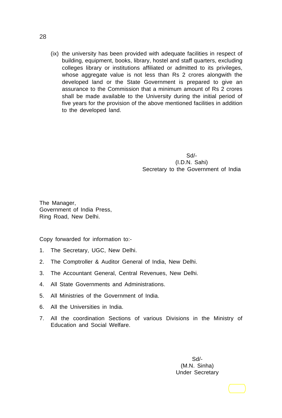(ix) the university has been provided with adequate facilities in respect of building, equipment, books, library, hostel and staff quarters, excluding colleges library or institutions affiliated or admitted to its privileges, whose aggregate value is not less than Rs 2 crores alongwith the developed land or the State Government is prepared to give an assurance to the Commission that a minimum amount of Rs 2 crores shall be made available to the University during the initial period of five years for the provision of the above mentioned facilities in addition to the developed land.

> Sd/- (I.D.N. Sahi) Secretary to the Government of India

The Manager, Government of India Press, Ring Road, New Delhi.

Copy forwarded for information to:-

- 1. The Secretary, UGC, New Delhi.
- 2. The Comptroller & Auditor General of India, New Delhi.
- 3. The Accountant General, Central Revenues, New Delhi.
- 4. All State Governments and Administrations.
- 5. All Ministries of the Government of India.
- 6. All the Universities in India.
- 7. All the coordination Sections of various Divisions in the Ministry of Education and Social Welfare.

Sd/- (M.N. Sinha) Under Secretary

28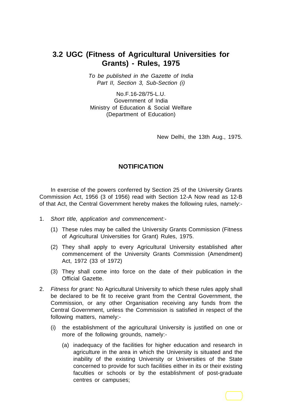#### **3.2 UGC (Fitness of Agricultural Universities for Grants) - Rules, 1975**

*To be published in the Gazette of India Part II, Section 3, Sub-Section (i)*

No.F.16-28/75-L.U. Government of India Ministry of Education & Social Welfare (Department of Education)

New Delhi, the 13th Aug., 1975.

#### **NOTIFICATION**

In exercise of the powers conferred by Section 25 of the University Grants Commission Act, 1956 (3 of 1956) read with Section 12-A Now read as 12-B of that Act, the Central Government hereby makes the following rules, namely:-

- 1. *Short title, application and commencement:-*
	- (1) These rules may be called the University Grants Commission (Fitness of Agricultural Universities for Grant) Rules, 1975.
	- (2) They shall apply to every Agricultural University established after commencement of the University Grants Commission (Amendment) Act, 1972 (33 of 1972)
	- (3) They shall come into force on the date of their publication in the Official Gazette.
- 2. *Fitness for grant:* No Agricultural University to which these rules apply shall be declared to be fit to receive grant from the Central Government, the Commission, or any other Organisation receiving any funds from the Central Government, unless the Commission is satisfied in respect of the following matters, namely:-
	- (i) the establishment of the agricultural University is justified on one or more of the following grounds, namely:-
		- (a) inadequacy of the facilities for higher education and research in agriculture in the area in which the University is situated and the inability of the existing University or Universities of the State concerned to provide for such facilities either in its or their existing faculties or schools or by the establishment of post-graduate centres or campuses;

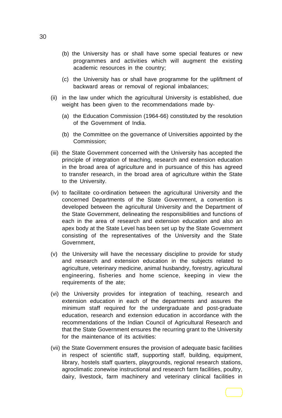- (b) the University has or shall have some special features or new programmes and activities which will augment the existing academic resources in the country;
- (c) the University has or shall have programme for the upliftment of backward areas or removal of regional imbalances;
- (ii) in the law under which the agricultural University is established, due weight has been given to the recommendations made by-
	- (a) the Education Commission (1964-66) constituted by the resolution of the Government of India.
	- (b) the Committee on the governance of Universities appointed by the Commission;
- (iii) the State Government concerned with the University has accepted the principle of integration of teaching, research and extension education in the broad area of agriculture and in pursuance of this has agreed to transfer research, in the broad area of agriculture within the State to the University.
- (iv) to facilitate co-ordination between the agricultural University and the concerned Departments of the State Government, a convention is developed between the agricultural University and the Department of the State Government, delineating the responsibilities and functions of each in the area of research and extension education and also an apex body at the State Level has been set up by the State Government consisting of the representatives of the University and the State Government,
- (v) the University will have the necessary discipline to provide for study and research and extension education in the subjects related to agriculture, veterinary medicine, animal husbandry, forestry, agricultural engineering, fisheries and home science, keeping in view the requirements of the ate;
- (vi) the University provides for integration of teaching, research and extension education in each of the departments and assures the minimum staff required for the undergraduate and post-graduate education, research and extension education in accordance with the recommendations of the Indian Council of Agricultural Research and that the State Government ensures the recurring grant to the University for the maintenance of its activities:
- (vii) the State Government ensures the provision of adequate basic facilities in respect of scientific staff, supporting staff, building, equipment, library, hostels staff quarters, playgrounds, regional research stations, agroclimatic zonewise instructional and research farm facilities, poultry, dairy, livestock, farm machinery and veterinary clinical facilities in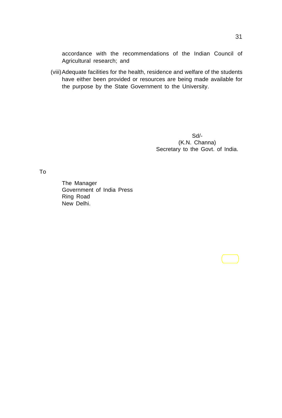accordance with the recommendations of the Indian Council of Agricultural research; and

(viii)Adequate facilities for the health, residence and welfare of the students have either been provided or resources are being made available for the purpose by the State Government to the University.

> Sd/- (K.N. Channa) Secretary to the Govt. of India.

To

The Manager Government of India Press Ring Road New Delhi.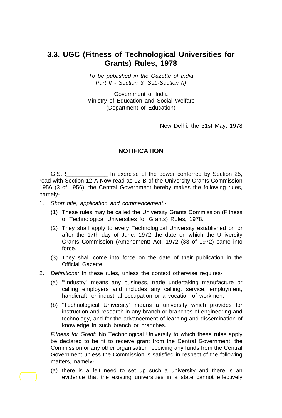#### **3.3. UGC (Fitness of Technological Universities for Grants) Rules, 1978**

*To be published in the Gazette of India Part II - Section 3, Sub-Section (i)*

Government of India Ministry of Education and Social Welfare (Department of Education)

New Delhi, the 31st May, 1978

#### **NOTIFICATION**

G.S.R\_\_\_\_\_\_\_\_\_\_\_\_\_\_\_\_ In exercise of the power conferred by Section 25, read with Section 12-A Now read as 12-B of the University Grants Commission 1956 (3 of 1956), the Central Government hereby makes the following rules, namely-

- 1. *Short title, application and commencement:-*
	- (1) These rules may be called the University Grants Commission (Fitness of Technological Universities for Grants) Rules, 1978.
	- (2) They shall apply to every Technological University established on or after the 17th day of June, 1972 the date on which the University Grants Commission (Amendment) Act, 1972 (33 of 1972) came into force.
	- (3) They shall come into force on the date of their publication in the Official Gazette.
- 2. *Definitions:* In these rules, unless the context otherwise requires-
	- (a) "'Industry" means any business, trade undertaking manufacture or calling employers and includes any calling, service, employment, handicraft, or industrial occupation or a vocation of workmen:
	- (b) "Technological University" means a university which provides for instruction and research in any branch or branches of engineering and technology, and for the advancement of learning and dissemination of knowledge in such branch or branches.

*Fitness for Grant:* No Technological University to which these rules apply be declared to be fit to receive grant from the Central Government, the Commission or any other organisation receiving any funds from the Central Government unless the Commission is satisfied in respect of the following matters, namely-

(a) there is a felt need to set up such a university and there is an evidence that the existing universities in a state cannot effectively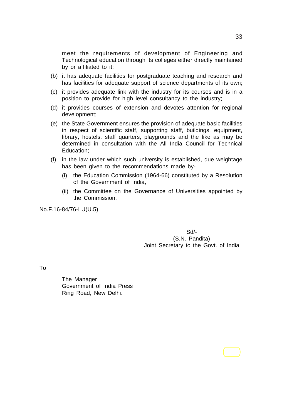meet the requirements of development of Engineering and Technological education through its colleges either directly maintained by or affiliated to it;

- (b) it has adequate facilities for postgraduate teaching and research and has facilities for adequate support of science departments of its own;
- (c) it provides adequate link with the industry for its courses and is in a position to provide for high level consultancy to the industry;
- (d) it provides courses of extension and devotes attention for regional development;
- (e) the State Government ensures the provision of adequate basic facilities in respect of scientific staff, supporting staff, buildings, equipment, library, hostels, staff quarters, playgrounds and the like as may be determined in consultation with the All India Council for Technical Education;
- (f) in the law under which such university is established, due weightage has been given to the recommendations made by-
	- (i) the Education Commission (1964-66) constituted by a Resolution of the Government of India,
	- (ii) the Committee on the Governance of Universities appointed by the Commission.

No.F.16-84/76-LU(U.5)

Sd/- (S.N. Pandita) Joint Secretary to the Govt. of India

To

The Manager Government of India Press Ring Road, New Delhi.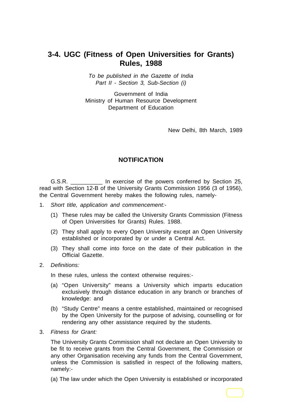# **3-4. UGC (Fitness of Open Universities for Grants) Rules, 1988**

*To be published in the Gazette of India Part II - Section 3, Sub-Section (i)*

Government of India Ministry of Human Resource Development Department of Education

New Delhi, 8th March, 1989

## **NOTIFICATION**

G.S.R. **In exercise of the powers conferred by Section 25,** read with Section 12-B of the University Grants Commission 1956 (3 of 1956), the Central Government hereby makes the following rules, namely-

- 1. *Short title, application and commencement:-*
	- (1) These rules may be called the University Grants Commission (Fitness of Open Universities for Grants) Rules. 1988.
	- (2) They shall apply to every Open University except an Open University established or incorporated by or under a Central Act.
	- (3) They shall come into force on the date of their publication in the Official Gazette.
- 2. *Definitions:*

In these rules, unless the context otherwise requires:-

- (a) "Open University" means a University which imparts education exclusively through distance education in any branch or branches of knowledge: and
- (b) "Study Centre" means a centre established, maintained or recognised by the Open University for the purpose of advising, counselling or for rendering any other assistance required by the students.
- 3. *Fitness for Grant:*

The University Grants Commission shall not declare an Open University to be fit to receive grants from the Central Government, the Commission or any other Organisation receiving any funds from the Central Government, unless the Commission is satisfied in respect of the following matters, namely:-

(a) The law under which the Open University is established or incorporated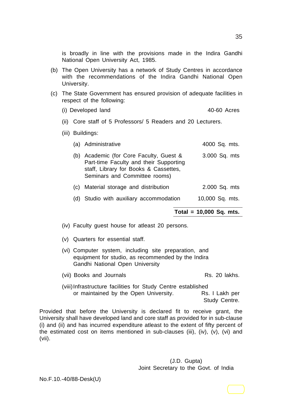is broadly in line with the provisions made in the Indira Gandhi National Open University Act, 1985.

- (b) The Open University has a network of Study Centres in accordance with the recommendations of the Indira Gandhi National Open University.
- (c) The State Government has ensured provision of adequate facilities in respect of the following:
	- (i) Developed land 40-60 Acres
	- (ii) Core staff of 5 Professors/ 5 Readers and 20 Lecturers.
	- (iii) Buildings:

| (a) | Administrative                                                                                                                                          | 4000 Sq. mts.   |
|-----|---------------------------------------------------------------------------------------------------------------------------------------------------------|-----------------|
| (b) | Academic (for Core Faculty, Guest &<br>Part-time Faculty and their Supporting<br>staff, Library for Books & Cassettes,<br>Seminars and Committee rooms) | 3.000 Sq. mts   |
| (C) | Material storage and distribution                                                                                                                       | 2.000 Sq. mts   |
| (d) | Studio with auxiliary accommodation                                                                                                                     | 10,000 Sq. mts. |

### **Total = 10,000 Sq. mts.**

- (iv) Faculty guest house for atleast 20 persons.
- (v) Quarters for essential staff.
- (vi) Computer system, including site preparation, and equipment for studio, as recommended by the Indira Gandhi National Open University
- (vii) Books and Journals Rs. 20 lakhs.

(viii) Infrastructure facilities for Study Centre established or maintained by the Open University. Rs. I Lakh per Study Centre.

Provided that before the University is declared fit to receive grant, the University shall have developed land and core staff as provided for in sub-clause (i) and (ii) and has incurred expenditure atleast to the extent of fifty percent of the estimated cost on items mentioned in sub-clauses (iii),  $(iv)$ ,  $(v)$ ,  $(vi)$  and (vii).

> (J.D. Gupta) Joint Secretary to the Govt. of India

No.F.10.-40/88-Desk(U)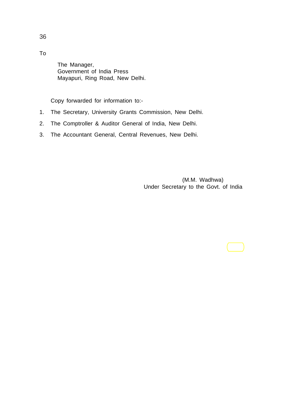The Manager, Government of India Press Mayapuri, Ring Road, New Delhi.

Copy forwarded for information to:-

- 1. The Secretary, University Grants Commission, New Delhi.
- 2. The Comptroller & Auditor General of India, New Delhi.
- 3. The Accountant General, Central Revenues, New Delhi.

(M.M. Wadhwa) Under Secretary to the Govt. of India

36 To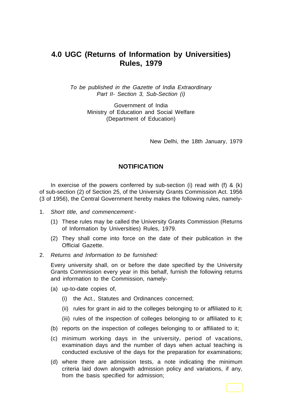# **4.0 UGC (Returns of Information by Universities) Rules, 1979**

*To be published in the Gazette of India Extraordinary Part II- Section 3, Sub-Section (i)*

> Government of India Ministry of Education and Social Welfare (Department of Education)

> > New Delhi, the 18th January, 1979

## **NOTIFICATION**

In exercise of the powers conferred by sub-section (i) read with (f)  $\&$  (k) of sub-section (2) of Section 25, of the University Grants Commission Act. 1956 (3 of 1956), the Central Government hereby makes the following rules, namely-

- 1. *Short title, and commencement:-*
	- (1) These rules may be called the University Grants Commission (Returns of Information by Universities) Rules, 1979.
	- (2) They shall come into force on the date of their publication in the Official Gazette.
- 2. *Returns and Information to be furnished:*

Every university shall, on or before the date specified by the University Grants Commission every year in this behalf, furnish the following returns and information to the Commission, namely-

- (a) up-to-date copies of,
	- (i) the Act., Statutes and Ordinances concerned;
	- (ii) rules for grant in aid to the colleges belonging to or affiliated to it;
	- (iii) rules of the inspection of colleges belonging to or affiliated to it;
- (b) reports on the inspection of colleges belonging to or affiliated to it;
- (c) minimum working days in the university, period of vacations, examination days and the number of days when actual teaching is conducted exclusive of the days for the preparation for examinations;
- (d) where there are admission tests, a note indicating the minimum criteria laid down alongwith admission policy and variations, if any, from the basis specified for admission;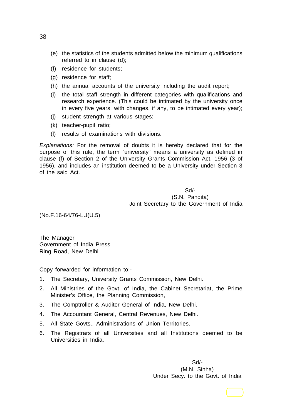- (e) the statistics of the students admitted below the minimum qualifications referred to in clause (d);
- (f) residence for students;
- (g) residence for staff;
- (h) the annual accounts of the university including the audit report;
- (i) the total staff strength in different categories with qualifications and research experience. (This could be intimated by the university once in every five years, with changes, if any, to be intimated every year);
- (j) student strength at various stages;
- (k) teacher-pupil ratio;
- (l) results of examinations with divisions.

*Explanations:* For the removal of doubts it is hereby declared that for the purpose of this rule, the term "university" means a university as defined in clause (f) of Section 2 of the University Grants Commission Act, 1956 (3 of 1956), and includes an institution deemed to be a University under Section 3 of the said Act.

> Sd/- (S.N. Pandita) Joint Secretary to the Government of India

(No.F.16-64/76-LU(U.5)

The Manager Government of India Press Ring Road, New Delhi

Copy forwarded for information to:-

- 1. The Secretary, University Grants Commission, New Delhi.
- 2. All Ministries of the Govt. of India, the Cabinet Secretariat, the Prime Minister's Office, the Planning Commission,
- 3. The Comptroller & Auditor General of India, New Delhi.
- 4. The Accountant General, Central Revenues, New Delhi.
- 5. All State Govts., Administrations of Union Territories.
- 6. The Registrars of all Universities and all Institutions deemed to be Universities in India.

Sd/- (M.N. Sinha) Under Secy. to the Govt. of India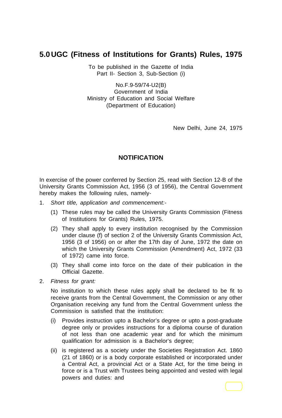# **5.0 UGC (Fitness of Institutions for Grants) Rules, 1975**

To be published in the Gazette of India Part II- Section 3, Sub-Section (i)

No.F.9-59/74-U2(B) Government of India Ministry of Education and Social Welfare (Department of Education)

New Delhi, June 24, 1975

## **NOTIFICATION**

In exercise of the power conferred by Section 25, read with Section 12-B of the University Grants Commission Act, 1956 (3 of 1956), the Central Government hereby makes the following rules, namely-

- 1. *Short title, application and commencement:-*
	- (1) These rules may be called the University Grants Commission (Fitness of Institutions for Grants) Rules, 1975.
	- (2) They shall apply to every institution recognised by the Commission under clause (f) of section 2 of the University Grants Commission Act, 1956 (3 of 1956) on or after the 17th day of June, 1972 the date on which the University Grants Commission (Amendment) Act, 1972 (33 of 1972) came into force.
	- (3) They shall come into force on the date of their publication in the Official Gazette.
- 2. *Fitness for grant:*

No institution to which these rules apply shall be declared to be fit to receive grants from the Central Government, the Commission or any other Organisation receiving any fund from the Central Government unless the Commission is satisfied that the institution:

- (i) Provides instruction upto a Bachelor's degree or upto a post-graduate degree only or provides instructions for a diploma course of duration of not less than one academic year and for which the minimum qualification for admission is a Bachelor's degree;
- (ii) is registered as a society under the Societies Registration Act. 1860 (21 of 1860) or is a body corporate established or incorporated under a Central Act, a provincial Act or a State Act, for the time being in force or is a Trust with Trustees being appointed and vested with legal powers and duties: and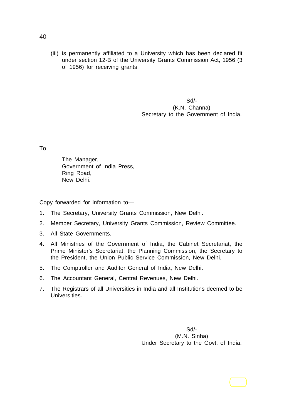(iii) is permanently affiliated to a University which has been declared fit under section 12-B of the University Grants Commission Act, 1956 (3 of 1956) for receiving grants.

> Sd/- (K.N. Channa) Secretary to the Government of India.

To

The Manager, Government of India Press, Ring Road, New Delhi.

Copy forwarded for information to—

- 1. The Secretary, University Grants Commission, New Delhi.
- 2. Member Secretary, University Grants Commission, Review Committee.
- 3. All State Governments.
- 4. All Ministries of the Government of India, the Cabinet Secretariat, the Prime Minister's Secretariat, the Planning Commission, the Secretary to the President, the Union Public Service Commission, New Delhi.
- 5. The Comptroller and Auditor General of India, New Delhi.
- 6. The Accountant General, Central Revenues, New Delhi.
- 7. The Registrars of all Universities in India and all Institutions deemed to be Universities.

Sd/- (M.N. Sinha) Under Secretary to the Govt. of India.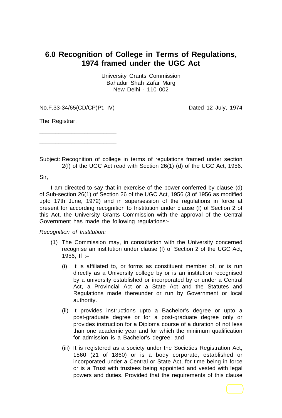# **6.0 Recognition of College in Terms of Regulations, 1974 framed under the UGC Act**

University Grants Commission Bahadur Shah Zafar Marg New Delhi - 110 002

No.F.33-34/65(CD/CP)Pt. IV) Dated 12 July, 1974

\_\_\_\_\_\_\_\_\_\_\_\_\_\_\_\_\_\_\_\_\_\_\_\_

The Registrar,

\_\_\_\_\_\_\_\_\_\_\_\_\_\_\_\_\_\_\_\_\_\_\_\_

Subject: Recognition of college in terms of regulations framed under section 2(f) of the UGC Act read with Section 26(1) (d) of the UGC Act, 1956.

Sir,

I am directed to say that in exercise of the power conferred by clause (d) of Sub-section 26(1) of Section 26 of the UGC Act, 1956 (3 of 1956 as modified upto 17th June, 1972) and in supersession of the regulations in force at present for according recognition to Institution under clause (f) of Section 2 of this Act, the University Grants Commission with the approval of the Central Government has made the following regulations:-

*Recognition of Institution:*

- (1) The Commission may, in consultation with the University concerned recognise an institution under clause (f) of Section 2 of the UGC Act, 1956, If :–
	- (i) It is affiliated to, or forms as constituent member of, or is run directly as a University college by or is an institution recognised by a university established or incorporated by or under a Central Act, a Provincial Act or a State Act and the Statutes and Regulations made thereunder or run by Government or local authority.
	- (ii) It provides instructions upto a Bachelor's degree or upto a post-graduate degree or for a post-graduate degree only or provides instruction for a Diploma course of a duration of not less than one academic year and for which the minimum qualification for admission is a Bachelor's degree; and
	- (iii) It is registered as a society under the Societies Registration Act, 1860 (21 of 1860) or is a body corporate, established or incorporated under a Central or State Act, for time being in force or is a Trust with trustees being appointed and vested with legal powers and duties. Provided that the requirements of this clause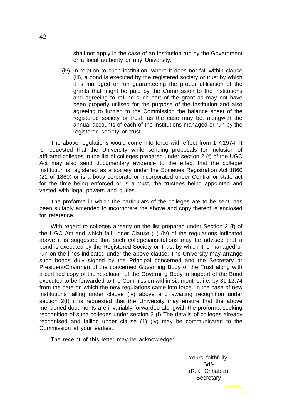shall not apply in the case of an Institution run by the Government or a local authority or any University.

(iv) In relation to such institution, where it does not fall within clause (iii), a bond is executed by the registered society or trust by which it is managed or run guaranteeing the proper utilisation of the grants that might be paid by the Commission to the institutions and agreeing to refund such part of the grant as may not have been properly utilised for the purpose of the institution and also agreeing to furnish to the Commission the balance sheet of the registered society or trust, as the case may be, alongwith the annual accounts of each of the institutions managed or run by the registered society or trust.

The above regulations would come into force with effect from 1.7.1974. It is requested that the University while sending proposals for inclusion of affiliated colleges in the list of colleges prepared under section 2 (f) of the UGC Act may also send documentary evidence to the effect that the college/ institution is registered as a society under the Societies Registration Act 1860 (21 of 1860) or is a body corporate or incorporated under Central or state act for the time being enforced or is a trust, the trustees being appointed and vested with legal powers and duties.

The proforma in which the particulars of the colleges are to be sent, has been suitably amended to incorporate the above and copy thereof is enclosed for reference.

With regard to colleges already on the list prepared under Section 2 (f) of the UGC Act and which fall under Clause (1) (iv) of the regulations indicated above it is suggested that such colleges/institutions may be advised that a bond is executed by the Registered Society or Trust by which it is managed or run on the lines indicated under the above clause. The University may arrange such bonds duly signed by the Principal concerned and the Secretary or President/Chairman of the concerned Governing Body of the Trust along with a certified copy of the resolution of the Governing Body in support of the Bond executed to be forwarded to the Commission within six months, i.e. by 31.12.74 from the date on which the new regulations came into force. In the case of new institutions falling under clause (iv) above and awaiting recognition under section 2(f) it is requested that the University may ensure that the above mentioned documents are invariably forwarded alongwith the proforma seeking recognition of such colleges under section 2 (f) The details of colleges already recognised and falling under clause (1) (iv) may be communicated to the Commission at your earliest.

The receipt of this letter may be acknowledged.

Yours faithfully, Sd/- (R.K. Chhabra) **Secretary**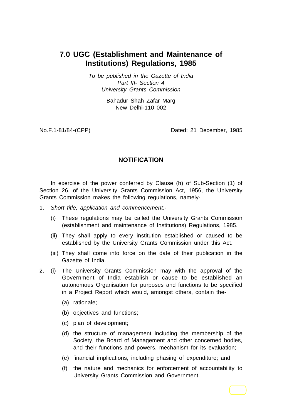# **7.0 UGC (Establishment and Maintenance of Institutions) Regulations, 1985**

*To be published in the Gazette of India Part III- Section 4 University Grants Commission*

> Bahadur Shah Zafar Marg New Delhi-110 002

No.F.1-81/84-(CPP) Dated: 21 December, 1985

## **NOTIFICATION**

In exercise of the power conferred by Clause (h) of Sub-Section (1) of Section 26, of the University Grants Commission Act, 1956, the University Grants Commission makes the following regulations, namely-

- 1. *Short title, application and commencement:-*
	- (i) These regulations may be called the University Grants Commission (establishment and maintenance of Institutions) Regulations, 1985.
	- (ii) They shall apply to every institution established or caused to be established by the University Grants Commission under this Act.
	- (iii) They shall come into force on the date of their publication in the Gazette of India.
- 2. (i) The University Grants Commission may with the approval of the Government of India establish or cause to be established an autonomous Organisation for purposes and functions to be specified in a Project Report which would, amongst others, contain the-
	- (a) rationale;
	- (b) objectives and functions;
	- (c) plan of development;
	- (d) the structure of management including the membership of the Society, the Board of Management and other concerned bodies, and their functions and powers, mechanism for its evaluation;
	- (e) financial implications, including phasing of expenditure; and
	- (f) the nature and mechanics for enforcement of accountability to University Grants Commission and Government.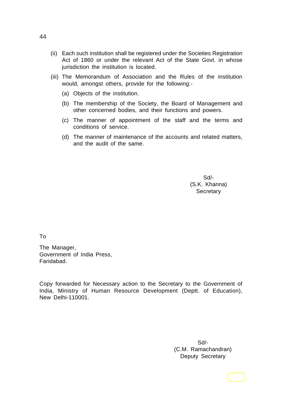- (ii) Each such institution shall be registered under the Societies Registration Act of 1860 or under the relevant Act of the State Govt. in whose jurisdiction the institution is located.
- (iii) The Memorandum of Association and the Rules of the institution would, amongst others, provide for the following:-
	- (a) Objects of the institution.
	- (b) The membership of the Society, the Board of Management and other concerned bodies, and their functions and powers.
	- (c) The manner of appointment of the staff and the terms and conditions of service.
	- (d) The manner of maintenance of the accounts and related matters, and the audit of the same.

Sd/- (S.K. Khanna) **Secretary** 

To

The Manager, Government of India Press, Faridabad.

Copy forwarded for Necessary action to the Secretary to the Government of India, Ministry of Human Resource Development (Deptt. of Education), New Delhi-110001.

> Sd/- (C.M. Ramachandran) Deputy Secretary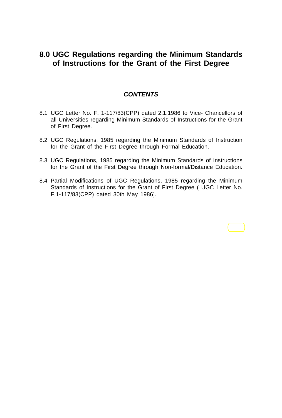# **8.0 UGC Regulations regarding the Minimum Standards of Instructions for the Grant of the First Degree**

## *CONTENTS*

- 8.1 UGC Letter No. F. 1-117/83(CPP) dated 2.1.1986 to Vice- Chancellors of all Universities regarding Minimum Standards of Instructions for the Grant of First Degree.
- 8.2 UGC Regulations, 1985 regarding the Minimum Standards of Instruction for the Grant of the First Degree through Formal Education.
- 8.3 UGC Regulations, 1985 regarding the Minimum Standards of Instructions for the Grant of the First Degree through Non-formal/Distance Education.
- 8.4 Partial Modifications of UGC Regulations, 1985 regarding the Minimum Standards of Instructions for the Grant of First Degree ( UGC Letter No. F.1-117/83(CPP) dated 30th May 1986].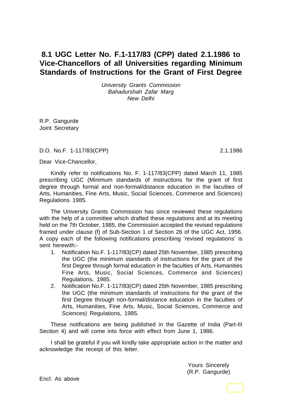# **8.1 UGC Letter No. F.1-117/83 (CPP) dated 2.1.1986 to Vice-Chancellors of all Universities regarding Minimum Standards of Instructions for the Grant of First Degree**

*University Grants Commission Bahadurshah Zafar Marg New Delhi*

R.P. Gangurde Joint Secretary

#### D.O. No.F. 1-117/83(CPP) 2.1.1986

Dear Vice-Chancellor,

Kindly refer to notifications No. F. 1-117/83(CPP) dated March 11, 1985 prescribing UGC (Minimum standards of instructions for the grant of first degree through formal and non-formal/distance education in the faculties of Arts, Humanities, Fine Arts, Music, Social Sciences, Commerce and Sciences) Regulations 1985.

The University Grants Commission has since reviewed these regulations with the help of a committee which drafted these regulations and at its meeting held on the 7th October, 1985, the Commission accepted the revised regulations framed under clause (f) of Sub-Section 1 of Section 26 of the UGC Act, 1956. A copy each of the following notifications prescribing 'revised regulations' is sent herewith:-

- 1. Notification No.F. 1-117/83(CP) dated 25th November, 1985 prescribing the UGC (the minimum standards of instructions for the grant of the first Degree through formal education in the faculties of Arts, Humanities Fine Arts, Music, Social Sciences, Commerce and Sciences) Regulations, 1985.
- 2. Notification No.F. 1-117/83(CP) dated 25th November, 1985 prescribing the UGC (the minimum standards of instructions for the grant of the first Degree through non-formal/distance education in the faculties of Arts, Humanities, Fine Arts, Music, Social Sciences, Commerce and Sciences) Regulations, 1985.

These notifications are being published in the Gazette of India (Part-III Section 4) and will come into force with effect from June 1, 1986.

I shall be grateful if you will kindly take appropriate action in the matter and acknowledge the receipt of this letter.

> Yours Sincerely (R.P. Gangurde)

Encl: As above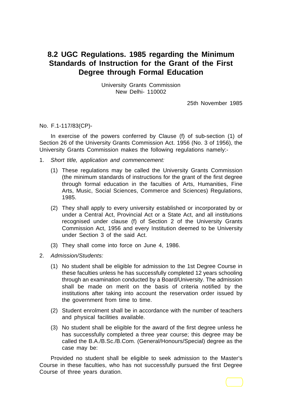# **8.2 UGC Regulations. 1985 regarding the Minimum Standards of Instruction for the Grant of the First Degree through Formal Education**

University Grants Commission New Delhi- 110002

25th November 1985

#### No. F.1-117/83(CP)-

In exercise of the powers conferred by Clause (f) of sub-section (1) of Section 26 of the University Grants Commission Act. 1956 (No. 3 of 1956), the University Grants Commission makes the following regulations namely:-

- 1. *Short title, application and commencement:*
	- (1) These regulations may be called the University Grants Commission (the minimum standards of instructions for the grant of the first degree through formal education in the faculties of Arts, Humanities, Fine Arts, Music, Social Sciences, Commerce and Sciences) Regulations, 1985.
	- (2) They shall apply to every university established or incorporated by or under a Central Act, Provincial Act or a State Act, and all institutions recognised under clause (f) of Section 2 of the University Grants Commission Act, 1956 and every Institution deemed to be University under Section 3 of the said Act.
	- (3) They shall come into force on June 4, 1986.
- 2. *Admission/Students:*
	- (1) No student shall be eligible for admission to the 1st Degree Course in these faculties unless he has successfully completed 12 years schooling through an examination conducted by a Board/University. The admission shall be made on merit on the basis of criteria notified by the institutions after taking into account the reservation order issued by the government from time to time.
	- (2) Student enrolment shall be in accordance with the number of teachers and physical facilities available.
	- (3) No student shall be eligible for the award of the first degree unless he has successfully completed a three year course; this degree may be called the B.A./B.Sc./B.Com. (General/Honours/Special) degree as the case may be:

Provided no student shall be eligible to seek admission to the Master's Course in these faculties, who has not successfully pursued the first Degree Course of three years duration.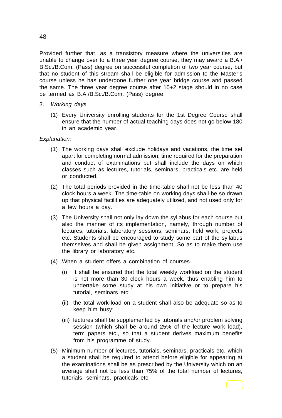Provided further that, as a transistory measure where the universities are unable to change over to a three year degree course, they may award a B.A./ B.Sc./B.Com. (Pass) degree on successful completion of two year course, but that no student of this stream shall be eligible for admission to the Master's course unless he has undergone further one year bridge course and passed the same. The three year degree course after 10+2 stage should in no case be termed as B.A./B.Sc./B.Com. (Pass) degree.

- 3. *Working days*
	- (1) Every University enrolling students for the 1st Degree Course shall ensure that the number of actual teaching days does not go below 180 in an academic year.

*Explanation:*

- (1) The working days shall exclude holidays and vacations, the time set apart for completing normal admission, time required for the preparation and conduct of examinations but shall include the days on which classes such as lectures, tutorials, seminars, practicals etc. are held or conducted.
- (2) The total periods provided in the time-table shall not be less than 40 clock hours a week. The time-table on working days shall be so drawn up that physical facilities are adequately utilized, and not used only for a few hours a day.
- (3) The University shall not only lay down the syllabus for each course but also the manner of its implementation, namely, through number of lectures, tutorials, laboratory sessions, seminars, field work, projects etc. Students shall be encouraged to study some part of the syllabus themselves and shall be given assignment. So as to make them use the library or laboratory etc.
- (4) When a student offers a combination of courses-
	- (i) It shall be ensured that the total weekly workload on the student is not more than 30 clock hours a week, thus enabling him to undertake some study at his own initiative or to prepare his tutorial, seminars etc:
	- (ii) the total work-load on a student shall also be adequate so as to keep him busy;
	- (iii) lectures shall be supplemented by tutorials and/or problem solving session (which shall be around 25% of the lecture work load), term papers etc., so that a student derives maximum benefits from his programme of study.
- (5) Minimum number of lectures, tutorials, seminars, practicals etc. which a student shall be required to attend before eligible for appearing at the examinations shall be as prescribed by the University which on an average shall not be less than 75% of the total number of lectures, tutorials, seminars, practicals etc.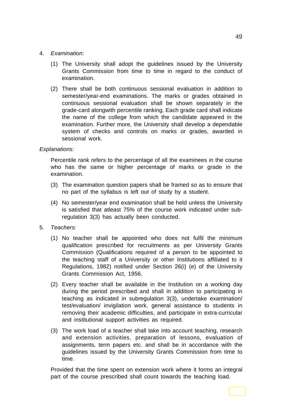### 4. *Examination:*

- (1) The University shall adopt the guidelines issued by the University Grants Commission from time to time in regard to the conduct of examination.
- (2) There shall be both continuous sessional evaluation in addition to semester/year-end examinations. The marks or grades obtained in continuous sessional evaluation shall be shown separately in the grade-card alongwith percentile ranking. Each grade card shall indicate the name of the college from which the candidate appeared in the examination. Further more, the University shall develop a dependable system of checks and controls on marks or grades, awarded in sessional work.

## *Explanations:*

Percentile rank refers to the percentage of all the examinees in the course who has the same or higher percentage of marks or grade in the examination.

- (3) The examination question papers shall be framed so as to ensure that no part of the syllabus is left out of study by a student.
- (4) No semester/year end examination shall be held unless the University is satisfied that atleast 75% of the course work indicated under subregulation 3(3) has actually been conducted.
- 5. *Teachers:*
	- (1) No teacher shall be appointed who does not fulfil the minimum qualification prescribed for recruitments as per University Grants Commission (Qualifications required of a person to be appointed to the teaching staff of a University or other Institutions affiliated to it Regulations, 1982) notified under Section 26(i) (e) of the University Grants Commission Act, 1956.
	- (2) Every teacher shall be available in the Institution on a working day during the period prescribed and shall in addition to participating in teaching as indicated in subregulation 3(3), undertake examination/ test/evaluation/ invigilation work, general assistance to students in removing their academic difficulties, and participate in extra-curricular and institutional support activities as required.
	- (3) The work load of a teacher shall take into account teaching, research and extension activities, preparation of lessons, evaluation of assignments, term papers etc. and shall be in accordance with the guidelines issued by the University Grants Commission from time to time.

Provided that the time spent on extension work where it forms an integral part of the course prescribed shall count towards the teaching load.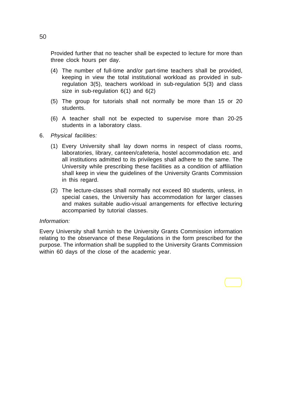Provided further that no teacher shall be expected to lecture for more than three clock hours per day.

- (4) The number of full-time and/or part-time teachers shall be provided, keeping in view the total institutional workload as provided in subregulation 3(5), teachers workload in sub-regulation 5(3) and class size in sub-regulation 6(1) and 6(2)
- (5) The group for tutorials shall not normally be more than 15 or 20 students.
- (6) A teacher shall not be expected to supervise more than 20-25 students in a laboratory class.
- 6. *Physical facilities:*
	- (1) Every University shall lay down norms in respect of class rooms, laboratories, library, canteen/cafeteria, hostel accommodation etc. and all institutions admitted to its privileges shall adhere to the same. The University while prescribing these facilities as a condition of affiliation shall keep in view the guidelines of the University Grants Commission in this regard.
	- (2) The lecture-classes shall normally not exceed 80 students, unless, in special cases, the University has accommodation for larger classes and makes suitable audio-visual arrangements for effective lecturing accompanied by tutorial classes.

#### *Information:*

Every University shall furnish to the University Grants Commission information relating to the observance of these Regulations in the form prescribed for the purpose. The information shall be supplied to the University Grants Commission within 60 days of the close of the academic year.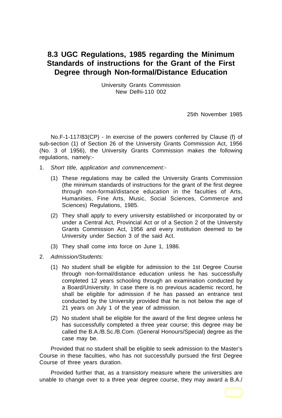# **8.3 UGC Regulations, 1985 regarding the Minimum Standards of instructions for the Grant of the First Degree through Non-formal/Distance Education**

University Grants Commission New Delhi-110 002

25th November 1985

No.F-1-117/83(CP) - In exercise of the powers conferred by Clause (f) of sub-section (1) of Section 26 of the University Grants Commission Act, 1956 (No. 3 of 1956), the University Grants Commission makes the following regulations, namely:-

- 1. *Short title, application and commencement:-*
	- (1) These regulations may be called the University Grants Commission (the minimum standards of instructions for the grant of the first degree through non-formal/distance education in the faculties of Arts, Humanities, Fine Arts, Music, Social Sciences, Commerce and Sciences) Regulations, 1985.
	- (2) They shall apply to every university established or incorporated by or under a Central Act, Provincial Act or of a Section 2 of the University Grants Commission Act, 1956 and every institution deemed to be University under Section 3 of the said Act.
	- (3) They shall come into force on June 1, 1986.
- 2. *Admission/Students:*
	- (1) No student shall be eligible for admission to the 1st Degree Course through non-formal/distance education unless he has successfully completed 12 years schooling through an examination conducted by a Board/University. In case there is no previous academic record, he shall be eligible for admission if he has passed an entrance test conducted by the University provided that he is not below the age of 21 years on July 1 of the year of admission.
	- (2) No student shall be eligible for the award of the first degree unless he has successfully completed a three year course; this degree may be called the B.A./B.Sc./B.Com. (General Honours/Special) degree as the case may be.

Provided that no student shall be eligible to seek admission to the Master's Course in these faculties, who has not successfully pursued the first Degree Course of three years duration.

Provided further that, as a transistory measure where the universities are unable to change over to a three year degree course, they may award a B.A./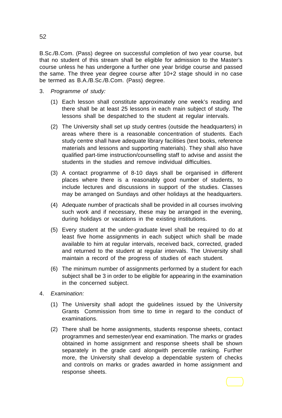B.Sc./B.Com. (Pass) degree on successful completion of two year course, but that no student of this stream shall be eligible for admission to the Master's course unless he has undergone a further one year bridge course and passed the same. The three year degree course after 10+2 stage should in no case be termed as B.A./B.Sc./B.Com. (Pass) degree.

- 3. *Programme of study:*
	- (1) Each lesson shall constitute approximately one week's reading and there shall be at least 25 lessons in each main subject of study. The lessons shall be despatched to the student at regular intervals.
	- (2) The University shall set up study centres (outside the headquarters) in areas where there is a reasonable concentration of students. Each study centre shall have adequate library facilities (text books, reference materials and lessons and supporting materials). They shall also have qualified part-time instruction/counselling staff to advise and assist the students in the studies and remove individual difficulties.
	- (3) A contact programme of 8-10 days shall be organised in different places where there is a reasonably good number of students, to include lectures and discussions in support of the studies. Classes may be arranged on Sundays and other holidays at the headquarters.
	- (4) Adequate number of practicals shall be provided in all courses involving such work and if necessary, these may be arranged in the evening, during holidays or vacations in the existing institutions.
	- (5) Every student at the under-graduate level shall be required to do at least five home assignments in each subject which shall be made available to him at regular intervals, received back, corrected, graded and returned to the student at regular intervals. The University shall maintain a record of the progress of studies of each student.
	- (6) The minimum number of assignments performed by a student for each subject shall be 3 in order to be eligible for appearing in the examination in the concerned subject.
- 4. *Examination:*
	- (1) The University shall adopt the guidelines issued by the University Grants Commission from time to time in regard to the conduct of examinations.
	- (2) There shall be home assignments, students response sheets, contact programmes and semester/year end examination. The marks or grades obtained in home assignment and response sheets shall be shown separately in the grade card alongwith percentile ranking. Further more, the University shall develop a dependable system of checks and controls on marks or grades awarded in home assignment and response sheets.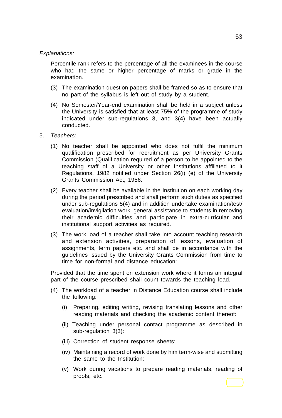#### *Explanations:*

Percentile rank refers to the percentage of all the examinees in the course who had the same or higher percentage of marks or grade in the examination.

- (3) The examination question papers shall be framed so as to ensure that no part of the syllabus is left out of study by a student.
- (4) No Semester/Year-end examination shall be held in a subject unless the University is satisfied that at least 75% of the programme of study indicated under sub-regulations 3, and 3(4) have been actually conducted.
- 5. *Teachers:*
	- (1) No teacher shall be appointed who does not fulfil the minimum qualification prescribed for recruitment as per University Grants Commission (Qualification required of a person to be appointed to the teaching staff of a University or other Institutions affiliated to it Regulations, 1982 notified under Section 26(i) (e) of the University Grants Commission Act, 1956.
	- (2) Every teacher shall be available in the Institution on each working day during the period prescribed and shall perform such duties as specified under sub-regulations 5(4) and in addition undertake examination/test/ evaluation/invigilation work, general assistance to students in removing their academic difficulties and participate in extra-curricular and institutional support activities as required.
	- (3) The work load of a teacher shall take into account teaching research and extension activities, preparation of lessons, evaluation of assignments, term papers etc. and shall be in accordance with the guidelines issued by the University Grants Commission from time to time for non-formal and distance education:

Provided that the time spent on extension work where it forms an integral part of the course prescribed shall count towards the teaching load.

- (4) The workload of a teacher in Distance Education course shall include the following:
	- (i) Preparing, editing writing, revising translating lessons and other reading materials and checking the academic content thereof:
	- (ii) Teaching under personal contact programme as described in sub-regulation 3(3):
	- (iii) Correction of student response sheets:
	- (iv) Maintaining a record of work done by him term-wise and submitting the same to the Institution:
	- (v) Work during vacations to prepare reading materials, reading of proofs, etc.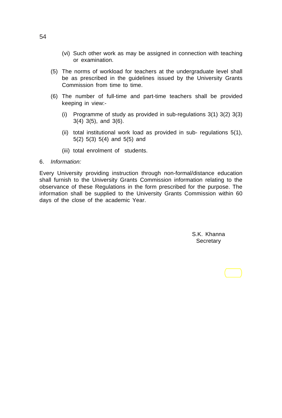- (vi) Such other work as may be assigned in connection with teaching or examination.
- (5) The norms of workload for teachers at the undergraduate level shall be as prescribed in the guidelines issued by the University Grants Commission from time to time.
- (6) The number of full-time and part-time teachers shall be provided keeping in view:-
	- (i) Programme of study as provided in sub-regulations 3(1) 3(2) 3(3) 3(4) 3(5), and 3(6).
	- (ii) total institutional work load as provided in sub- regulations 5(1), 5(2) 5(3) 5(4) and 5(5) and
	- (iii) total enrolment of students.
- 6. *Information:*

Every University providing instruction through non-formal/distance education shall furnish to the University Grants Commission information relating to the observance of these Regulations in the form prescribed for the purpose. The information shall be supplied to the University Grants Commission within 60 days of the close of the academic Year.

> S.K. Khanna **Secretary**

## 54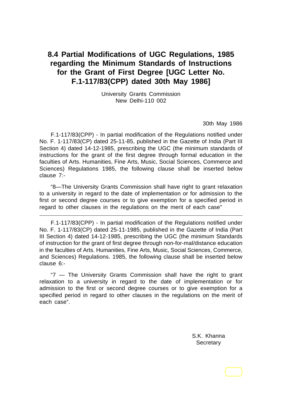# **8.4 Partial Modifications of UGC Regulations, 1985 regarding the Minimum Standards of Instructions for the Grant of First Degree [UGC Letter No. F.1-117/83(CPP) dated 30th May 1986]**

University Grants Commission New Delhi-110 002

30th May 1986

F.1-117/83(CPP) - In partial modification of the Regulations notified under No. F. 1-117/83(CP) dated 25-11-85, published in the Gazette of India (Part III Section 4) dated 14-12-1985, prescribing the UGC (the minimum standards of instructions for the grant of the first degree through formal education in the faculties of Arts. Humanities, Fine Arts, Music, Social Sciences, Commerce and Sciences) Regulations 1985, the following clause shall be inserted below clause 7:-

"8—The University Grants Commission shall have right to grant relaxation to a university in regard to the date of implementation or for admission to the first or second degree courses or to give exemption for a specified period in regard to other clauses in the regulations on the merit of each case"

F.1-117/83(CPP) - In partial modification of the Regulations notified under No. F. 1-117/83(CP) dated 25-11-1985, published in the Gazette of India (Part III Section 4) dated 14-12-1985, prescribing the UGC (the minimum Standards of instruction for the grant of first degree through non-for-mal/distance education in the faculties of Arts. Humanities, Fine Arts, Music, Social Sciences, Commerce, and Sciences) Regulations. 1985, the following clause shall be inserted below clause 6:-

" $7 -$  The University Grants Commission shall have the right to grant relaxation to a university in regard to the date of implementation or for admission to the first or second degree courses or to give exemption for a specified period in regard to other clauses in the regulations on the merit of each case".

> S.K. Khanna **Secretary**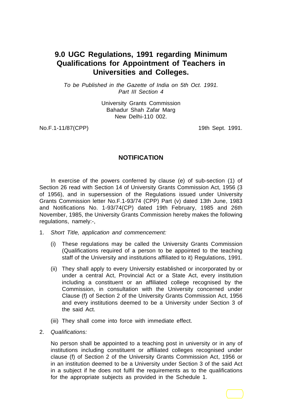# **9.0 UGC Regulations, 1991 regarding Minimum Qualifications for Appointment of Teachers in Universities and Colleges.**

*To be Published in the Gazette of India on 5th Oct. 1991. Part III Section 4*

> University Grants Commission Bahadur Shah Zafar Marg New Delhi-110 002.

No.F.1-11/87(CPP) 2001 19th Sept. 1991.

### **NOTIFICATION**

In exercise of the powers conferred by clause (e) of sub-section (1) of Section 26 read with Section 14 of University Grants Commission Act, 1956 (3 of 1956), and in supersession of the Regulations issued under University Grants Commission letter No.F.1-93/74 (CPP) Part (v) dated 13th June, 1983 and Notifications No. 1-93/74(CP) dated 19th February, 1985 and 26th November, 1985, the University Grants Commission hereby makes the following regulations, namely:-,

- 1. *Short Title, application and commencement:*
	- (i) These regulations may be called the University Grants Commission (Qualifications required of a person to be appointed to the teaching staff of the University and institutions affiliated to it) Regulations, 1991.
	- (ii) They shall apply to every University established or incorporated by or under a central Act, Provincial Act or a State Act, every institution including a constituent or an affiliated college recognised by the Commission, in consultation with the University concerned under Clause (f) of Section 2 of the University Grants Commission Act, 1956 and every institutions deemed to be a University under Section 3 of the said Act.
	- (iii) They shall come into force with immediate effect.
- 2. *Qualifications:*

No person shall be appointed to a teaching post in university or in any of institutions including constituent or affiliated colleges recognised under clause (f) of Section 2 of the University Grants Commission Act, 1956 or in an institution deemed to be a University under Section 3 of the said Act in a subject if he does not fulfil the requirements as to the qualifications for the appropriate subjects as provided in the Schedule 1.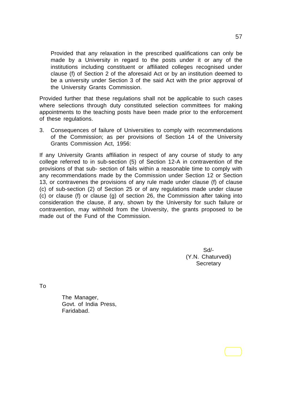Provided that any relaxation in the prescribed qualifications can only be made by a University in regard to the posts under it or any of the institutions including constituent or affiliated colleges recognised under clause (f) of Section 2 of the aforesaid Act or by an institution deemed to be a university under Section 3 of the said Act with the prior approval of the University Grants Commission.

Provided further that these regulations shall not be applicable to such cases where selections through duty constituted selection committees for making appointments to the teaching posts have been made prior to the enforcement of these regulations.

3. Consequences of failure of Universities to comply with recommendations of the Commission; as per provisions of Section 14 of the University Grants Commission Act, 1956:

If any University Grants affiliation in respect of any course of study to any college referred to in sub-section (5) of Section 12-A in contravention of the provisions of that sub- section of fails within a reasonable time to comply with any recommendations made by the Commission under Section 12 or Section 13, or contravenes the provisions of any rule made under clause (f) of clause (c) of sub-section (2) of Section 25 or of any regulations made under clause (c) or clause (f) or clause (g) of section 26, the Commission after taking into consideration the clause, if any, shown by the University for such failure or contravention, may withhold from the University, the grants proposed to be made out of the Fund of the Commission.

> Sd/- (Y.N. Chaturvedi) **Secretary**

To

The Manager, Govt. of India Press, Faridabad.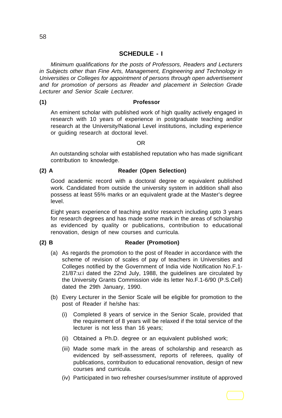## **SCHEDULE - I**

*Minimum qualifications for the posts of Professors, Readers and Lecturers in Subjects other than Fine Arts, Management, Engineering and Technology in Universities or Colleges for appointment of persons through open advertisement and for promotion of persons as Reader and placement in Selection Grade Lecturer and Senior Scale Lecturer.*

## **(1) Professor**

An eminent scholar with published work of high quality actively engaged in research with 10 years of experience in postgraduate teaching and/or research at the University/National Level institutions, including experience or guiding research at doctoral level.

#### OR

An outstanding scholar with established reputation who has made significant contribution to knowledge.

## **(2) A Reader (Open Selection)**

Good academic record with a doctoral degree or equivalent published work. Candidated from outside the university system in addition shall also possess at least 55% marks or an equivalent grade at the Master's degree level.

Eight years experience of teaching and/or research including upto 3 years for research degrees and has made some mark in the areas of scholarship as evidenced by quality or publications, contribution to educational renovation, design of new courses and curricula.

#### **(2) B Reader (Promotion)**

- (a) As regards the promotion to the post of Reader in accordance with the scheme of revision of scales of pay of teachers in Universities and Colleges notified by the Government of India vide Notification No.F.1- 21/87:u:i dated the 22nd July, 1988, the guidelines are circulated by the University Grants Commission vide its letter No.F.1-6/90 (P.S.Cell) dated the 29th January, 1990.
- (b) Every Lecturer in the Senior Scale will be eligible for promotion to the post of Reader if he/she has:
	- (i) Completed 8 years of service in the Senior Scale, provided that the requirement of 8 years will be relaxed if the total service of the lecturer is not less than 16 years;
	- (ii) Obtained a Ph.D. degree or an equivalent published work;
	- (iii) Made some mark in the areas of scholarship and research as evidenced by self-assessment, reports of referees, quality of publications, contribution to educational renovation, design of new courses and curricula.
	- (iv) Participated in two refresher courses/summer institute of approved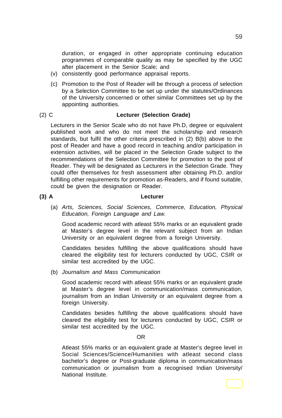duration, or engaged in other appropriate continuing education programmes of comparable quality as may be specified by the UGC after placement in the Senior Scale; and

- (v) consistently good performance appraisal reports.
- (c) Promotion to the Post of Reader will be through a process of selection by a Selection Committee to be set up under the statutes/Ordinances of the University concerned or other similar Committees set up by the appointing authorities.

#### (2) C **Lecturer (Selection Grade)**

Lecturers in the Senior Scale who do not have Ph.D, degree or equivalent published work and who do not meet the scholarship and research standards, but fulfil the other criteria prescribed in (2) B(b) above to the post of Reader and have a good record in teaching and/or participation in extension activities, will be placed in the Selection Grade subject to the recommendations of the Selection Committee for promotion to the post of Reader. They will be designated as Lecturers in the Selection Grade. They could offer themselves for fresh assessment after obtaining Ph.D. and/or fulfilling other requirements for promotion as-Readers, and if found suitable, could be given the designation or Reader.

#### **(3) A Lecturer**

(a) *Arts, Sciences, Social Sciences, Commerce, Education, Physical Education, Foreign Language and Law.*

Good academic record with atleast 55% marks or an equivalent grade at Master's degree level in the relevant subject from an Indian University or an equivalent degree from a foreign University.

Candidates besides fulfilling the above qualifications should have cleared the eligibility test for lecturers conducted by UGC, CSIR or similar test accredited by the UGC.

(b) *Journalism and Mass Communication*

Good academic record with atleast 55% marks or an equivalent grade at Master's degree level in communication/mass communication, journalism from an Indian University or an equivalent degree from a foreign University.

Candidates besides fulfilling the above qualifications should have cleared the eligibility test for lecturers conducted by UGC, CSIR or similar test accredited by the UGC.

## OR

Atleast 55% marks or an equivalent grade at Master's degree level in Social Sciences/Science/Humanities with atleast second class bachelor's degree or Post-graduate diploma in communication/mass communication or journalism from a recognised Indian University/ National Institute.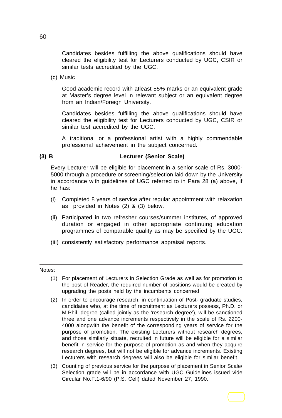Candidates besides fulfilling the above qualifications should have cleared the eligibility test for Lecturers conducted by UGC, CSIR or similar tests accredited by the UGC.

(c) Music

Good academic record with atleast 55% marks or an equivalent grade at Master's degree level in relevant subject or an equivalent degree from an Indian/Foreign University.

Candidates besides fulfilling the above qualifications should have cleared the eligibility test for Lecturers conducted by UGC, CSIR or similar test accredited by the UGC.

A traditional or a professional artist with a highly commendable professional achievement in the subject concerned.

# **(3) B Lecturer (Senior Scale)**

Every Lecturer will be eligible for placement in a senior scale of Rs. 3000- 5000 through a procedure or screening/selection laid down by the University in accordance with guidelines of UGC referred to in Para 28 (a) above, if he has:

- (i) Completed 8 years of service after regular appointment with relaxation as provided in Notes (2) & (3) below.
- (ii) Participated in two refresher courses/summer institutes, of approved duration or engaged in other appropriate continuing education programmes of comparable quality as may be specified by the UGC.
- (iii) consistently satisfactory performance appraisal reports.

#### Notes:

- (1) For placement of Lecturers in Selection Grade as well as for promotion to the post of Reader, the required number of positions would be created by upgrading the posts held by the incumbents concerned.
- (2) In order to encourage research, in continuation of Post- graduate studies, candidates who, at the time of recruitment as Lecturers possess, Ph.D. or M.Phil. degree (called jointly as the 'research degree'), will be sanctioned three and one advance increments respectively in the scale of Rs. 2200- 4000 alongwith the benefit of the corresponding years of service for the purpose of promotion. The existing Lecturers without research degrees, and those similarly situate, recruited in future will be eligible for a similar benefit in service for the purpose of promotion as and when they acquire research degrees, but will not be eligible for advance increments. Existing Lecturers with research degrees will also be eligible for similar benefit.
- (3) Counting of previous service for the purpose of placement in Senior Scale/ Selection grade will be in accordance with UGC Guidelines issued vide Circular No.F.1-6/90 (P.S. Cell) dated November 27, 1990.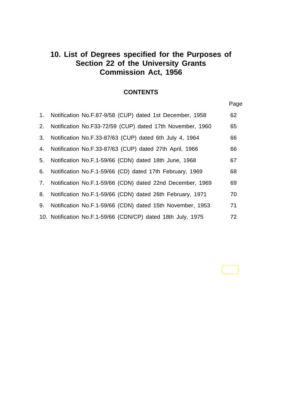# **10. List of Degrees specified for the Purposes of Section 22 of the University Grants Commission Act, 1956**

# **CONTENTS**

Page

| 1. | Notification No.F.87-9/58 (CUP) dated 1st December, 1958     |  |  |  | 62 |
|----|--------------------------------------------------------------|--|--|--|----|
| 2. | Notification No.F33-72/59 (CUP) dated 17th November, 1960    |  |  |  | 65 |
| 3. | Notification No.F.33-87/63 (CUP) dated 6th July 4, 1964      |  |  |  | 66 |
| 4. | Notification No.F.33-87/63 (CUP) dated 27th April, 1966      |  |  |  | 66 |
| 5. | Notification No.F.1-59/66 (CDN) dated 18th June, 1968        |  |  |  | 67 |
| 6. | Notification No.F.1-59/66 (CD) dated 17th February, 1969     |  |  |  | 68 |
| 7. | Notification No.F.1-59/66 (CDN) dated 22nd December, 1969    |  |  |  | 69 |
| 8. | Notification No.F.1-59/66 (CDN) dated 26th February, 1971    |  |  |  | 70 |
| 9. | Notification No.F.1-59/66 (CDN) dated 15th November, 1953    |  |  |  | 71 |
|    | 10. Notification No.F.1-59/66 (CDN/CP) dated 18th July, 1975 |  |  |  | 72 |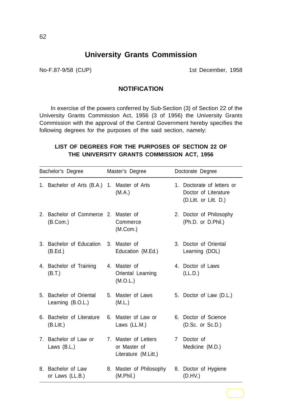No-F.87-9/58 (CUP) 1st December, 1958

## **NOTIFICATION**

In exercise of the powers conferred by Sub-Section (3) of Section 22 of the University Grants Commission Act, 1956 (3 of 1956) the University Grants Commission with the approval of the Central Government hereby specifies the following degrees for the purposes of the said section, namely:

## **LIST OF DEGREES FOR THE PURPOSES OF SECTION 22 OF THE UNIVERSITY GRANTS COMMISSION ACT, 1956**

| Bachelor's Degree |                                                   | Master's Degree |                                                              |                | Doctorate Degree                                                            |  |  |
|-------------------|---------------------------------------------------|-----------------|--------------------------------------------------------------|----------------|-----------------------------------------------------------------------------|--|--|
|                   | 1. Bachelor of Arts (B.A.) 1. Master of Arts      |                 | (M.A.)                                                       |                | 1. Doctorate of letters or<br>Doctor of Literature<br>(D.Litt. or Litt. D.) |  |  |
|                   | 2. Bachelor of Commerce 2. Master of<br>(B. Com.) |                 | Commerce<br>(M.Com.)                                         |                | 2. Doctor of Philosophy<br>(Ph.D. or D.Phil.)                               |  |  |
|                   | 3. Bachelor of Education<br>(B.Ed.)               |                 | 3. Master of<br>Education (M.Ed.)                            |                | 3. Doctor of Oriental<br>Learning (DOL)                                     |  |  |
|                   | 4. Bachelor of Training<br>(B.T.)                 |                 | 4. Master of<br>Oriental Learning<br>(M.O.L.)                |                | 4. Doctor of Laws<br>(LL.D.)                                                |  |  |
|                   | 5. Bachelor of Oriental<br>Learning (B.O.L.)      |                 | 5. Master of Laws<br>(M.L.)                                  |                | 5. Doctor of Law (D.L.)                                                     |  |  |
|                   | 6. Bachelor of Literature<br>(B.Litt.)            |                 | 6. Master of Law or<br>Laws (LL.M.)                          |                | 6. Doctor of Science<br>$(D.Sc.$ or $Sc.D.)$                                |  |  |
|                   | 7. Bachelor of Law or<br>Laws $(B.L.)$            |                 | 7. Master of Letters<br>or Master of<br>Literature (M.Litt.) | $\overline{7}$ | Doctor of<br>Medicine (M.D.)                                                |  |  |
|                   | 8. Bachelor of Law<br>or Laws (LL.B.)             | 8.              | Master of Philosophy<br>(M.Phil.)                            |                | 8. Doctor of Hygiene<br>(D.HV.)                                             |  |  |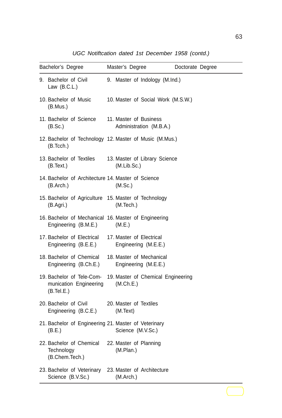*UGC Notiftcation dated 1st December 1958 (contd.)*

| Bachelor's Degree |                                                                              | Master's Degree                         |                                    | Doctorate Degree |  |  |
|-------------------|------------------------------------------------------------------------------|-----------------------------------------|------------------------------------|------------------|--|--|
|                   | 9. Bachelor of Civil<br>Law $(B.C.L.)$                                       |                                         | 9. Master of Indology (M.Ind.)     |                  |  |  |
|                   | 10. Bachelor of Music<br>(B.Mus.)                                            |                                         | 10. Master of Social Work (M.S.W.) |                  |  |  |
|                   | 11. Bachelor of Science<br>(B.Sc.)                                           | 11. Master of Business                  | Administration (M.B.A.)            |                  |  |  |
|                   | 12. Bachelor of Technology 12. Master of Music (M.Mus.)<br>(B.Tcch.)         |                                         |                                    |                  |  |  |
|                   | 13. Bachelor of Textiles<br>(B.Text.)                                        | (M.Lib.Sc.)                             | 13. Master of Library Science      |                  |  |  |
|                   | 14. Bachelor of Architecture 14. Master of Science<br>(B.Arch.)              | (M.Sc.)                                 |                                    |                  |  |  |
|                   | 15. Bachelor of Agriculture 15. Master of Technology<br>(B.Agri.)            | (M.Tech.)                               |                                    |                  |  |  |
|                   | 16. Bachelor of Mechanical 16. Master of Engineering<br>Engineering (B.M.E.) | (M.E.)                                  |                                    |                  |  |  |
|                   | 17. Bachelor of Electrical<br>Engineering (B.E.E.)                           | 17. Master of Electrical                | Engineering (M.E.E.)               |                  |  |  |
|                   | 18. Bachelor of Chemical<br>Engineering (B.Ch.E.)                            | 18. Master of Mechanical                | Engineering (M.E.E.)               |                  |  |  |
|                   | 19. Bachelor of Tele-Com-<br>munication Engineering<br>(B.Tel.E.)            | (M.Ch.E.)                               | 19. Master of Chemical Engineering |                  |  |  |
|                   | 20. Bachelor of Civil<br>Engineering (B.C.E.)                                | 20. Master of Textiles<br>(M.Text)      |                                    |                  |  |  |
|                   | 21. Bachelor of Engineering 21. Master of Veterinary<br>(B.E.)               | Science (M.V.Sc.)                       |                                    |                  |  |  |
|                   | 22. Bachelor of Chemical<br>Technology<br>(B.Chem.Tech.)                     | 22. Master of Planning<br>(M.Plan.)     |                                    |                  |  |  |
|                   | 23. Bachelor of Veterinary<br>Science (B.V.Sc.)                              | 23. Master of Architecture<br>(M.Arch.) |                                    |                  |  |  |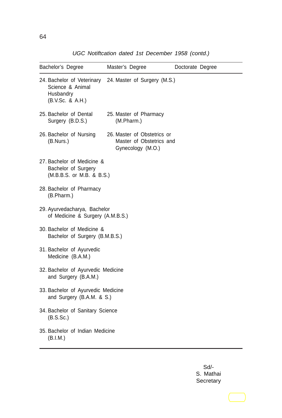*UGC Notiftcation dated 1st December 1958 (contd.)*

| Bachelor's Degree                                                               | Master's Degree                                                              | Doctorate Degree |  |  |  |
|---------------------------------------------------------------------------------|------------------------------------------------------------------------------|------------------|--|--|--|
| 24. Bachelor of Veterinary<br>Science & Animal<br>Husbandry<br>(B.V.Sc. & A.H.) | 24. Master of Surgery (M.S.)                                                 |                  |  |  |  |
| 25. Bachelor of Dental<br>Surgery (B.D.S.)                                      | 25. Master of Pharmacy<br>(M.Pharm.)                                         |                  |  |  |  |
| 26. Bachelor of Nursing<br>(B.Nurs.)                                            | 26. Master of Obstetrics or<br>Master of Obstetrics and<br>Gynecology (M.O.) |                  |  |  |  |
| 27. Bachelor of Medicine &<br>Bachelor of Surgery<br>(M.B.B.S. or M.B. & B.S.)  |                                                                              |                  |  |  |  |
| 28. Bachelor of Pharmacy<br>(B.Pharm.)                                          |                                                                              |                  |  |  |  |
| 29. Ayurvedacharya, Bachelor<br>of Medicine & Surgery (A.M.B.S.)                |                                                                              |                  |  |  |  |
| 30. Bachelor of Medicine &<br>Bachelor of Surgery (B.M.B.S.)                    |                                                                              |                  |  |  |  |
| 31. Bachelor of Ayurvedic<br>Medicine (B.A.M.)                                  |                                                                              |                  |  |  |  |
| 32. Bachelor of Ayurvedic Medicine<br>and Surgery (B.A.M.)                      |                                                                              |                  |  |  |  |
| 33. Bachelor of Ayurvedic Medicine<br>and Surgery (B.A.M. & S.)                 |                                                                              |                  |  |  |  |
| 34. Bachelor of Sanitary Science<br>(B.S.Sc.)                                   |                                                                              |                  |  |  |  |
| 35. Bachelor of Indian Medicine<br>(B.I.M.)                                     |                                                                              |                  |  |  |  |

Sd/- S. Mathai Secretary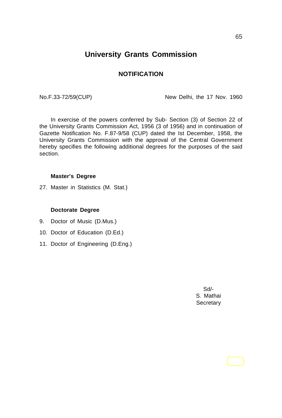## **NOTIFICATION**

No.F.33-72/59(CUP) New Delhi, the 17 Nov. 1960

In exercise of the powers conferred by Sub- Section (3) of Section 22 of the University Grants Commission Act, 1956 (3 of 1956) and in continuation of Gazette Notification No. F.87-9/58 (CUP) dated the Ist December, 1958, the University Grants Commission with the approval of the Central Government hereby specifies the following additional degrees for the purposes of the said section.

#### **Master's Degree**

27. Master in Statistics (M. Stat.)

#### **Doctorate Degree**

- 9. Doctor of Music (D.Mus.)
- 10. Doctor of Education (D.Ed.)
- 11. Doctor of Engineering (D.Eng.)

Sd/- S. Mathai **Secretary**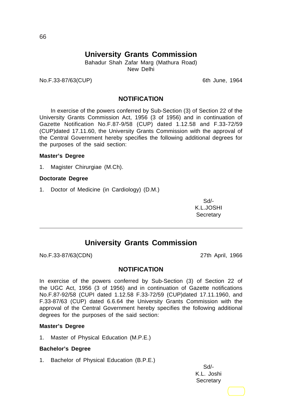Bahadur Shah Zafar Marg (Mathura Road) New Delhi

No.F.33-87/63(CUP) 6th June, 1964

## **NOTIFICATION**

In exercise of the powers conferred by Sub-Section (3) of Section 22 of the University Grants Commission Act, 1956 (3 of 1956) and in continuation of Gazette Notification No.F.87-9/58 (CUP) dated 1.12.58 and F.33-72/59 (CUP)dated 17.11.60, the University Grants Commission with the approval of the Central Government hereby specifies the following additional degrees for the purposes of the said section:

#### **Master's Degree**

1. Magister Chirurgiae (M.Ch).

#### **Doctorate Degree**

1. Doctor of Medicine (in Cardiology) (D.M.)

Sd/- K.L.JOSHI **Secretary** 

# **University Grants Commission**

No.F.33-87/63(CDN) 27th April, 1966

## **NOTIFICATION**

In exercise of the powers conferred by Sub-Section (3) of Section 22 of the UGC Act, 1956 (3 of 1956) and in continuation of Gazette notifications No.F.87-92/58 (CUPI dated 1.12.58 F.33-72/59 (CUP)dated 17.11.1960, and F.33-87/63 (CUP) dated 6.6.64 the University Grants Commission with the approval of the Central Government hereby specifies the following additional degrees for the purposes of the said section:

#### **Master's Degree**

1. Master of Physical Education (M.P.E.)

#### **Bachelor's Degree**

1. Bachelor of Physical Education (B.P.E.)

Sd/- K.L. Joshi **Secretary**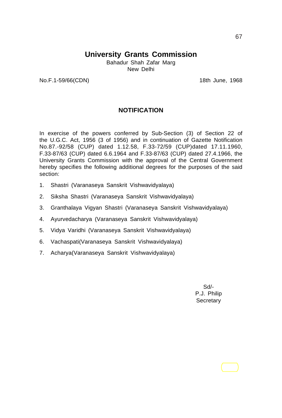Bahadur Shah Zafar Marg New Delhi

No.F.1-59/66(CDN) 18th June, 1968

## **NOTIFICATION**

In exercise of the powers conferred by Sub-Section (3) of Section 22 of the U.G.C. Act, 1956 (3 of 1956) and in continuation of Gazette Notification No.87.-92/58 (CUP) dated 1.12.58, F.33-72/59 (CUP)dated 17.11.1960, F.33-87/63 (CUP) dated 6.6.1964 and F.33-87/63 (CUP) dated 27.4.1966, the University Grants Commission with the approval of the Central Government hereby specifies the following additional degrees for the purposes of the said section:

- 1. Shastri (Varanaseya Sanskrit Vishwavidyalaya)
- 2. Siksha Shastri (Varanaseya Sanskrit Vishwavidyalaya)
- 3. Granthalaya Vigyan Shastri (Varanaseya Sanskrit Vishwavidyalaya)
- 4. Ayurvedacharya (Varanaseya Sanskrit Vishwavidyalaya)
- 5. Vidya Varidhi (Varanaseya Sanskrit Vishwavidyalaya)
- 6. Vachaspati(Varanaseya Sanskrit Vishwavidyalaya)
- 7. Acharya(Varanaseya Sanskrit Vishwavidyalaya)

Sd/- P.J. Philip **Secretary**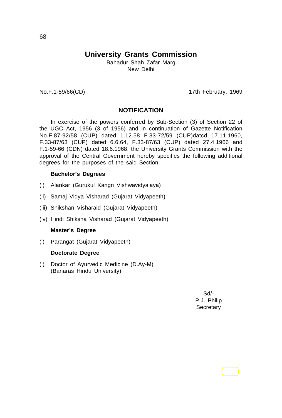Bahadur Shah Zafar Marg New Delhi

No.F.1-59/66(CD) 17th February, 1969

## **NOTIFICATION**

In exercise of the powers conferred by Sub-Section (3) of Section 22 of the UGC Act, 1956 (3 of 1956) and in continuation of Gazette Notification No.F.87-92/58 (CUP) dated 1.12.58 F.33-72/59 (CUP)datcd 17.11.1960, F.33-87/63 (CUP) dated 6.6.64, F.33-87/63 (CUP) dated 27.4.1966 and F.1-59-66 (CDN) dated 18.6.1968, the University Grants Commission with the approval of the Central Government hereby specifies the following additional degrees for the purposes of the said Section:

#### **Bachelor's Degrees**

- (i) Alankar (Gurukul Kangri Vishwavidyalaya)
- (ii) Samaj Vidya Visharad (Gujarat Vidyapeeth)
- (iii) Shikshan Visharaid (Gujarat Vidyapeeth)
- (iv) Hindi Shiksha Visharad (Gujarat Vidyapeeth)

#### **Master's Degree**

(i) Parangat (Gujarat Vidyapeeth)

#### **Doctorate Degree**

(i) Doctor of Ayurvedic Medicine (D.Ay-M) (Banaras Hindu University)

> Sd/- P.J. Philip **Secretary**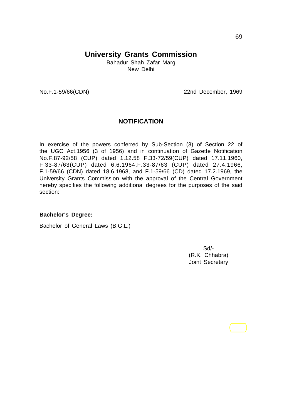Bahadur Shah Zafar Marg New Delhi

No.F.1-59/66(CDN) 22nd December, 1969

## **NOTIFICATION**

In exercise of the powers conferred by Sub-Section (3) of Section 22 of the UGC Act,1956 (3 of 1956) and in continuation of Gazette Notification No.F.87-92/58 (CUP) dated 1.12.58 F.33-72/59(CUP) dated 17.11.1960, F.33-87/63(CUP) dated 6.6.1964,F.33-87/63 (CUP) dated 27.4.1966, F.1-59/66 (CDN) dated 18.6.1968, and F.1-59/66 (CD) dated 17.2.1969, the University Grants Commission with the approval of the Central Government hereby specifies the following additional degrees for the purposes of the said section:

#### **Bachelor's Degree:**

Bachelor of General Laws (B.G.L.)

Sd/- (R.K. Chhabra) Joint Secretary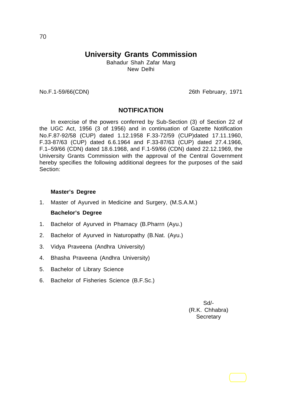Bahadur Shah Zafar Marg New Delhi

No.F.1-59/66(CDN) 26th February, 1971

### **NOTIFICATION**

In exercise of the powers conferred by Sub-Section (3) of Section 22 of the UGC Act, 1956 (3 of 1956) and in continuation of Gazette Notification No.F.87-92/58 (CUP) dated 1.12.1958 F.33-72/59 (CUP)dated 17.11.1960, F.33-87/63 (CUP) dated 6.6.1964 and F.33-87/63 (CUP) dated 27.4.1966, F.1–59/66 (CDN) dated 18.6.1968, and F.1-59/66 (CDN) dated 22.12.1969, the University Grants Commission with the approval of the Central Government hereby specifies the following additional degrees for the purposes of the said Section:

#### **Master's Degree**

1. Master of Ayurved in Medicine and Surgery, (M.S.A.M.)

### **Bachelor's Degree**

- 1. Bachelor of Ayurved in Phamacy (B.Pharrn (Ayu.)
- 2. Bachelor of Ayurved in Naturopathy (B.Nat. (Ayu.)
- 3. Vidya Praveena (Andhra University)
- 4. Bhasha Praveena (Andhra University)
- 5. Bachelor of Library Science
- 6. Bachelor of Fisheries Science (B.F.Sc.)

Sd/- (R.K. Chhabra) **Secretary**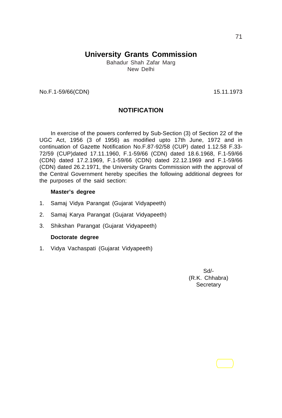Bahadur Shah Zafar Marg New Delhi

No.F.1-59/66(CDN) 15.11.1973

## **NOTIFICATION**

In exercise of the powers conferred by Sub-Section (3) of Section 22 of the UGC Act, 1956 (3 of 1956) as modified upto 17th June, 1972 and in continuation of Gazette Notification No.F.87-92/58 (CUP) dated 1.12.58 F.33- 72/59 (CUP)dated 17.11.1960, F.1-59/66 (CDN) dated 18.6.1968, F.1-59/66 (CDN) dated 17.2.1969, F.1-59/66 (CDN) dated 22.12.1969 and F.1-59/66 (CDN) dated 26.2.1971, the University Grants Commission with the approval of the Central Government hereby specifies the following additional degrees for the purposes of the said section:

#### **Master's degree**

- 1. Samaj Vidya Parangat (Gujarat Vidyapeeth)
- 2. Samaj Karya Parangat (Gujarat Vidyapeeth)
- 3. Shikshan Parangat (Gujarat Vidyapeeth)

#### **Doctorate degree**

1. Vidya Vachaspati (Gujarat Vidyapeeth)

Sd/- (R.K. Chhabra) **Secretary**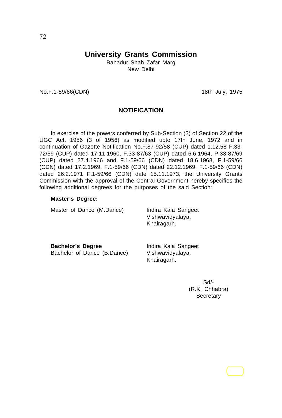Bahadur Shah Zafar Marg New Delhi

No.F.1-59/66(CDN) 18th July, 1975

## **NOTIFICATION**

In exercise of the powers conferred by Sub-Section (3) of Section 22 of the UGC Act, 1956 (3 of 1956) as modified upto 17th June, 1972 and in continuation of Gazette Notification No.F.87-92/58 (CUP) dated 1.12.58 F.33- 72/59 (CUP) dated 17.11.1960, F.33-87/63 (CUP) dated 6.6.1964, P.33-87/69 (CUP) dated 27.4.1966 and F.1-59/66 (CDN) dated 18.6.1968, F.1-59/66 (CDN) dated 17.2.1969, F.1-59/66 (CDN) dated 22.12.1969, F.1-59/66 (CDN) dated 26.2.1971 F.1-59/66 (CDN) date 15.11.1973, the University Grants Commission with the approval of the Central Government hereby specifies the following additional degrees for the purposes of the said Section:

#### **Master's Degree:**

Master of Dance (M.Dance) Indira Kala Sangeet

Vishwavidyalaya. Khairagarh.

**Bachelor's Degree Indira Kala Sangeet** Bachelor of Dance (B.Dance) Vishwavidyalaya,

Khairagarh.

Sd/- (R.K. Chhabra) **Secretary**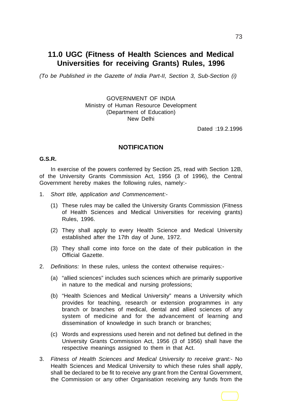## **11.0 UGC (Fitness of Health Sciences and Medical Universities for receiving Grants) Rules, 1996**

*(To be Published in the Gazette of India Part-II, Section 3, Sub-Section (i)*

GOVERNMENT OF INDIA Ministry of Human Resource Development (Department of Education) New Delhi

Dated :19.2.1996

### **NOTIFICATION**

#### **G.S.R.**

In exercise of the powers conferred by Section 25, read with Section 12B, of the University Grants Commission Act, 1956 (3 of 1996), the Central Government hereby makes the following rules, namely:-

- 1. *Short title, application and Commencement:-*
	- (1) These rules may be called the University Grants Commission (Fitness of Health Sciences and Medical Universities for receiving grants) Rules, 1996.
	- (2) They shall apply to every Health Science and Medical University established after the 17th day of June, 1972.
	- (3) They shall come into force on the date of their publication in the Official Gazette.
- 2. *Definitions:* In these rules, unless the context otherwise requires:-
	- (a) "allied sciences" includes such sciences which are primarily supportive in nature to the medical and nursing professions;
	- (b) "Health Sciences and Medical University" means a University which provides for teaching, research or extension programmes in any branch or branches of medical, dental and allied sciences of any system of medicine and for the advancement of learning and dissemination of knowledge in such branch or branches;
	- (c) Words and expressions used herein and not defined but defined in the University Grants Commission Act, 1956 (3 of 1956) shall have the respective meanings assigned to them in that Act.
- 3. *Fitness of Health Sciences and Medical University to receive grant:-* No Health Sciences and Medical University to which these rules shall apply, shall be declared to be fit to receive any grant from the Central Government, the Commission or any other Organisation receiving any funds from the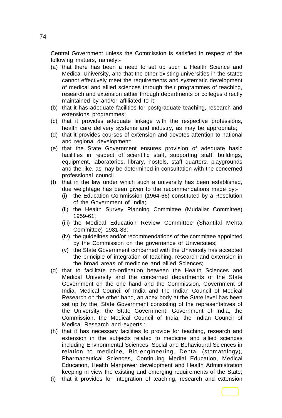Central Government unless the Commission is satisfied in respect of the following matters, namely:-

- (a) that there has been a need to set up such a Health Science and Medical University, and that the other existing universities in the states cannot effectively meet the requirements and systematic development of medical and allied sciences through their programmes of teaching, research and extension either through departments or colleges directly maintained by and/or affiliated to it;
- (b) that it has adequate facilities for postgraduate teaching, research and extensions programmes;
- (c) that it provides adequate linkage with the respective professions, health care delivery systems and industry, as may be appropriate;
- (d) that it provides courses of extension and devotes attention to national and regional development;
- (e) that the State Government ensures provision of adequate basic facilities in respect of scientific staff, supporting staff, buildings, equipment, laboratories, library, hostels, staff quarters, playgrounds and the like, as may be determined in consultation with the concerned professional council.
- (f) that in the law under which such a university has been established, due weightage has been given to the recommendations made by:-
	- (i) the Education Commission (1964-66) constituted by a Resolution of the Government of India;
	- (ii) the Health Survey Planning Committee (Mudaliar Committee) 1959-61;
	- (iii) the Medical Education Review Committee (Shantilal Mehta Committee) 1981-83;
	- (iv) the guidelines and/or recommendations of the committee appointed by the Commission on the governance of Universities;
	- (v) the State Government concerned with the University has accepted the principle of integration of teaching, research and extension in the broad areas of medicine and allied Sciences;
- (g) that to facilitate co-ordination between the Health Sciences and Medical University and the concerned departments of the State Government on the one hand and the Commission, Government of India, Medical Council of India and the Indian Council of Medical Research on the other hand, an apex body at the State level has been set up by the, State Government consisting of the representatives of the University, the State Government, Government of India, the Commission, the Medical Council of India, the Indian Council of Medical Research and experts.;
- (h) that it has necessary facilities to provide for teaching, research and extension in the subjects related to medicine and allied sciences including Environmental Sciences, Social and Behavioural Sciences in relation to medicine, Bio-engineering, Dental (stomatology), Pharmaceutical Sciences, Continuing Medial Education, Medical Education, Health Manpower development and Health Administration keeping in view the existing and emerging requirements of the State;
- (i) that it provides for integration of teaching, research and extension